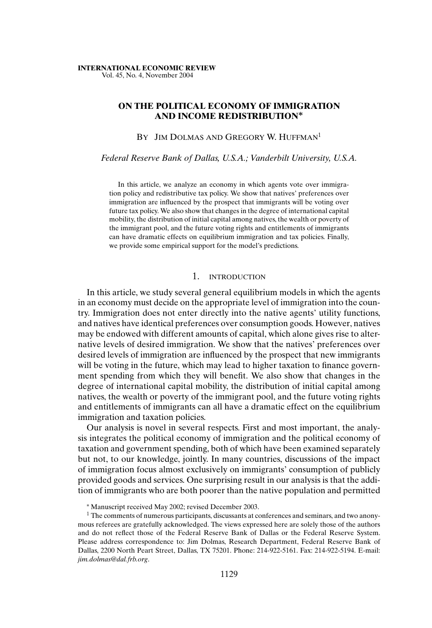# **INTERNATIONAL ECONOMIC REVIEW**

Vol. 45, No. 4, November 2004

# **ON THE POLITICAL ECONOMY OF IMMIGRATION AND INCOME REDISTRIBUTION***∗*

# BY JIM DOLMAS AND GREGORY W. HUFFMAN<sup>1</sup>

*Federal Reserve Bank of Dallas, U.S.A.; Vanderbilt University, U.S.A.*

In this article, we analyze an economy in which agents vote over immigration policy and redistributive tax policy. We show that natives' preferences over immigration are influenced by the prospect that immigrants will be voting over future tax policy. We also show that changes in the degree of international capital mobility, the distribution of initial capital among natives, the wealth or poverty of the immigrant pool, and the future voting rights and entitlements of immigrants can have dramatic effects on equilibrium immigration and tax policies. Finally, we provide some empirical support for the model's predictions.

# 1. INTRODUCTION

In this article, we study several general equilibrium models in which the agents in an economy must decide on the appropriate level of immigration into the country. Immigration does not enter directly into the native agents' utility functions, and natives have identical preferences over consumption goods. However, natives may be endowed with different amounts of capital, which alone gives rise to alternative levels of desired immigration. We show that the natives' preferences over desired levels of immigration are influenced by the prospect that new immigrants will be voting in the future, which may lead to higher taxation to finance government spending from which they will benefit. We also show that changes in the degree of international capital mobility, the distribution of initial capital among natives, the wealth or poverty of the immigrant pool, and the future voting rights and entitlements of immigrants can all have a dramatic effect on the equilibrium immigration and taxation policies.

Our analysis is novel in several respects. First and most important, the analysis integrates the political economy of immigration and the political economy of taxation and government spending, both of which have been examined separately but not, to our knowledge, jointly. In many countries, discussions of the impact of immigration focus almost exclusively on immigrants' consumption of publicly provided goods and services. One surprising result in our analysis is that the addition of immigrants who are both poorer than the native population and permitted

<sup>∗</sup> Manuscript received May 2002; revised December 2003.

<sup>1</sup> The comments of numerous participants, discussants at conferences and seminars, and two anonymous referees are gratefully acknowledged. The views expressed here are solely those of the authors and do not reflect those of the Federal Reserve Bank of Dallas or the Federal Reserve System. Please address correspondence to: Jim Dolmas, Research Department, Federal Reserve Bank of Dallas, 2200 North Peart Street, Dallas, TX 75201. Phone: 214-922-5161. Fax: 214-922-5194. E-mail: *jim.dolmas@dal.frb.org*.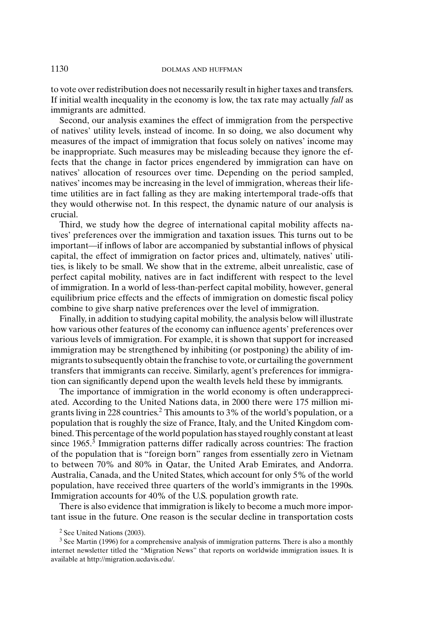to vote over redistribution does not necessarily result in higher taxes and transfers. If initial wealth inequality in the economy is low, the tax rate may actually *fall* as immigrants are admitted.

Second, our analysis examines the effect of immigration from the perspective of natives' utility levels, instead of income. In so doing, we also document why measures of the impact of immigration that focus solely on natives' income may be inappropriate. Such measures may be misleading because they ignore the effects that the change in factor prices engendered by immigration can have on natives' allocation of resources over time. Depending on the period sampled, natives' incomes may be increasing in the level of immigration, whereas their lifetime utilities are in fact falling as they are making intertemporal trade-offs that they would otherwise not. In this respect, the dynamic nature of our analysis is crucial.

Third, we study how the degree of international capital mobility affects natives' preferences over the immigration and taxation issues. This turns out to be important—if inflows of labor are accompanied by substantial inflows of physical capital, the effect of immigration on factor prices and, ultimately, natives' utilities, is likely to be small. We show that in the extreme, albeit unrealistic, case of perfect capital mobility, natives are in fact indifferent with respect to the level of immigration. In a world of less-than-perfect capital mobility, however, general equilibrium price effects and the effects of immigration on domestic fiscal policy combine to give sharp native preferences over the level of immigration.

Finally, in addition to studying capital mobility, the analysis below will illustrate how various other features of the economy can influence agents' preferences over various levels of immigration. For example, it is shown that support for increased immigration may be strengthened by inhibiting (or postponing) the ability of immigrants to subsequently obtain the franchise to vote, or curtailing the government transfers that immigrants can receive. Similarly, agent's preferences for immigration can significantly depend upon the wealth levels held these by immigrants.

The importance of immigration in the world economy is often underappreciated. According to the United Nations data, in 2000 there were 175 million migrants living in 228 countries.<sup>2</sup> This amounts to 3% of the world's population, or a population that is roughly the size of France, Italy, and the United Kingdom combined. This percentage of the world population has stayed roughly constant at least since 1965.<sup>3</sup> Immigration patterns differ radically across countries: The fraction of the population that is "foreign born" ranges from essentially zero in Vietnam to between 70% and 80% in Qatar, the United Arab Emirates, and Andorra. Australia, Canada, and the United States, which account for only 5% of the world population, have received three quarters of the world's immigrants in the 1990s. Immigration accounts for 40% of the U.S. population growth rate.

There is also evidence that immigration is likely to become a much more important issue in the future. One reason is the secular decline in transportation costs

<sup>2</sup> See United Nations (2003).

<sup>&</sup>lt;sup>3</sup> See Martin (1996) for a comprehensive analysis of immigration patterns. There is also a monthly internet newsletter titled the "Migration News" that reports on worldwide immigration issues. It is available at http://migration.ucdavis.edu/.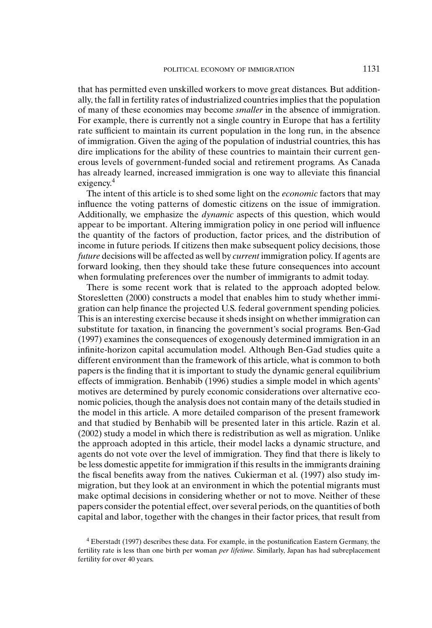that has permitted even unskilled workers to move great distances. But additionally, the fall in fertility rates of industrialized countries implies that the population of many of these economies may become *smaller* in the absence of immigration. For example, there is currently not a single country in Europe that has a fertility rate sufficient to maintain its current population in the long run, in the absence of immigration. Given the aging of the population of industrial countries, this has dire implications for the ability of these countries to maintain their current generous levels of government-funded social and retirement programs. As Canada has already learned, increased immigration is one way to alleviate this financial exigency.<sup>4</sup>

The intent of this article is to shed some light on the *economic* factors that may influence the voting patterns of domestic citizens on the issue of immigration. Additionally, we emphasize the *dynamic* aspects of this question, which would appear to be important. Altering immigration policy in one period will influence the quantity of the factors of production, factor prices, and the distribution of income in future periods. If citizens then make subsequent policy decisions, those *future* decisions will be affected as well by *current* immigration policy. If agents are forward looking, then they should take these future consequences into account when formulating preferences over the number of immigrants to admit today.

There is some recent work that is related to the approach adopted below. Storesletten (2000) constructs a model that enables him to study whether immigration can help finance the projected U.S. federal government spending policies. This is an interesting exercise because it sheds insight on whether immigration can substitute for taxation, in financing the government's social programs. Ben-Gad (1997) examines the consequences of exogenously determined immigration in an infinite-horizon capital accumulation model. Although Ben-Gad studies quite a different environment than the framework of this article, what is common to both papers is the finding that it is important to study the dynamic general equilibrium effects of immigration. Benhabib (1996) studies a simple model in which agents' motives are determined by purely economic considerations over alternative economic policies, though the analysis does not contain many of the details studied in the model in this article. A more detailed comparison of the present framework and that studied by Benhabib will be presented later in this article. Razin et al. (2002) study a model in which there is redistribution as well as migration. Unlike the approach adopted in this article, their model lacks a dynamic structure, and agents do not vote over the level of immigration. They find that there is likely to be less domestic appetite for immigration if this results in the immigrants draining the fiscal benefits away from the natives. Cukierman et al. (1997) also study immigration, but they look at an environment in which the potential migrants must make optimal decisions in considering whether or not to move. Neither of these papers consider the potential effect, over several periods, on the quantities of both capital and labor, together with the changes in their factor prices, that result from

<sup>4</sup> Eberstadt (1997) describes these data. For example, in the postunification Eastern Germany, the fertility rate is less than one birth per woman *per lifetime*. Similarly, Japan has had subreplacement fertility for over 40 years.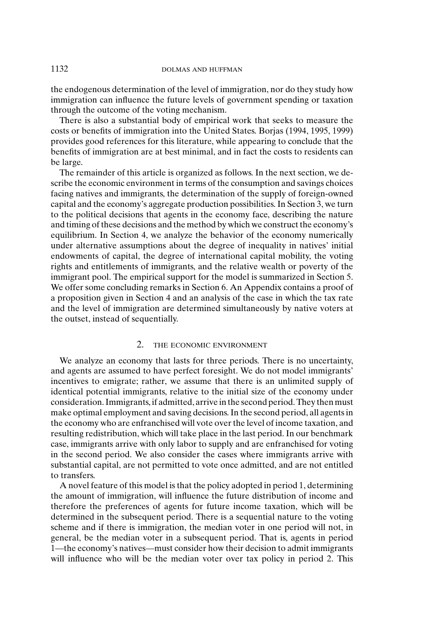the endogenous determination of the level of immigration, nor do they study how immigration can influence the future levels of government spending or taxation through the outcome of the voting mechanism.

There is also a substantial body of empirical work that seeks to measure the costs or benefits of immigration into the United States. Borjas (1994, 1995, 1999) provides good references for this literature, while appearing to conclude that the benefits of immigration are at best minimal, and in fact the costs to residents can be large.

The remainder of this article is organized as follows. In the next section, we describe the economic environment in terms of the consumption and savings choices facing natives and immigrants, the determination of the supply of foreign-owned capital and the economy's aggregate production possibilities. In Section 3, we turn to the political decisions that agents in the economy face, describing the nature and timing of these decisions and the method by which we construct the economy's equilibrium. In Section 4, we analyze the behavior of the economy numerically under alternative assumptions about the degree of inequality in natives' initial endowments of capital, the degree of international capital mobility, the voting rights and entitlements of immigrants, and the relative wealth or poverty of the immigrant pool. The empirical support for the model is summarized in Section 5. We offer some concluding remarks in Section 6. An Appendix contains a proof of a proposition given in Section 4 and an analysis of the case in which the tax rate and the level of immigration are determined simultaneously by native voters at the outset, instead of sequentially.

# 2. THE ECONOMIC ENVIRONMENT

We analyze an economy that lasts for three periods. There is no uncertainty, and agents are assumed to have perfect foresight. We do not model immigrants' incentives to emigrate; rather, we assume that there is an unlimited supply of identical potential immigrants, relative to the initial size of the economy under consideration. Immigrants, if admitted, arrive in the second period. They then must make optimal employment and saving decisions. In the second period, all agents in the economy who are enfranchised will vote over the level of income taxation, and resulting redistribution, which will take place in the last period. In our benchmark case, immigrants arrive with only labor to supply and are enfranchised for voting in the second period. We also consider the cases where immigrants arrive with substantial capital, are not permitted to vote once admitted, and are not entitled to transfers.

A novel feature of this model is that the policy adopted in period 1, determining the amount of immigration, will influence the future distribution of income and therefore the preferences of agents for future income taxation, which will be determined in the subsequent period. There is a sequential nature to the voting scheme and if there is immigration, the median voter in one period will not, in general, be the median voter in a subsequent period. That is, agents in period 1—the economy's natives—must consider how their decision to admit immigrants will influence who will be the median voter over tax policy in period 2. This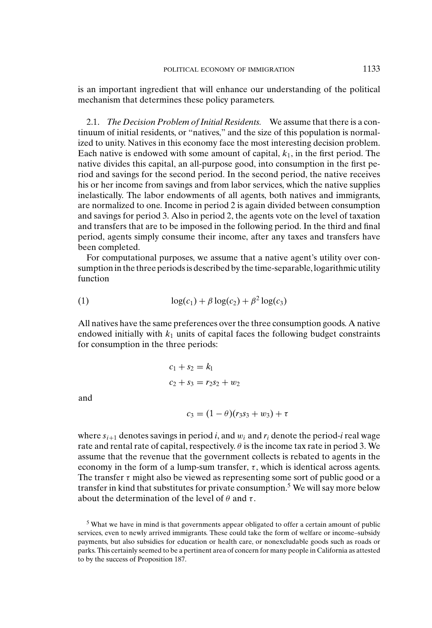is an important ingredient that will enhance our understanding of the political mechanism that determines these policy parameters.

2.1. *The Decision Problem of Initial Residents.* We assume that there is a continuum of initial residents, or "natives," and the size of this population is normalized to unity. Natives in this economy face the most interesting decision problem. Each native is endowed with some amount of capital,  $k_1$ , in the first period. The native divides this capital, an all-purpose good, into consumption in the first period and savings for the second period. In the second period, the native receives his or her income from savings and from labor services, which the native supplies inelastically. The labor endowments of all agents, both natives and immigrants, are normalized to one. Income in period 2 is again divided between consumption and savings for period 3. Also in period 2, the agents vote on the level of taxation and transfers that are to be imposed in the following period. In the third and final period, agents simply consume their income, after any taxes and transfers have been completed.

For computational purposes, we assume that a native agent's utility over consumption in the three periods is described by the time-separable, logarithmic utility function

$$
(1) \qquad \log(c_1) + \beta \log(c_2) + \beta^2 \log(c_3)
$$

All natives have the same preferences over the three consumption goods. A native endowed initially with  $k_1$  units of capital faces the following budget constraints for consumption in the three periods:

$$
c_1 + s_2 = k_1
$$
  

$$
c_2 + s_3 = r_2s_2 + w_2
$$

and

$$
c_3 = (1 - \theta)(r_3 s_3 + w_3) + \tau
$$

where  $s_{i+1}$  denotes savings in period *i*, and  $w_i$  and  $r_i$  denote the period-*i* real wage rate and rental rate of capital, respectively.  $\theta$  is the income tax rate in period 3. We assume that the revenue that the government collects is rebated to agents in the economy in the form of a lump-sum transfer,  $\tau$ , which is identical across agents. The transfer  $\tau$  might also be viewed as representing some sort of public good or a transfer in kind that substitutes for private consumption.<sup>5</sup> We will say more below about the determination of the level of  $\theta$  and  $\tau$ .

 $<sup>5</sup>$  What we have in mind is that governments appear obligated to offer a certain amount of public</sup> services, even to newly arrived immigrants. These could take the form of welfare or income–subsidy payments, but also subsidies for education or health care, or nonexcludable goods such as roads or parks. This certainly seemed to be a pertinent area of concern for many people in California as attested to by the success of Proposition 187.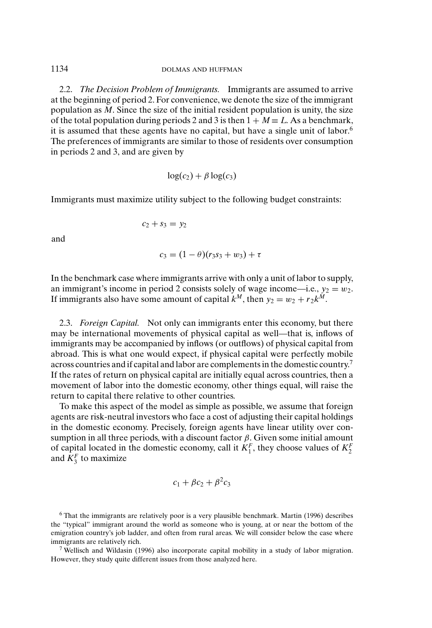### DOLMAS AND HUFFMAN

2.2. *The Decision Problem of Immigrants.* Immigrants are assumed to arrive at the beginning of period 2. For convenience, we denote the size of the immigrant population as *M*. Since the size of the initial resident population is unity, the size of the total population during periods 2 and 3 is then  $1 + M \equiv L$ . As a benchmark, it is assumed that these agents have no capital, but have a single unit of labor.<sup>6</sup> The preferences of immigrants are similar to those of residents over consumption in periods 2 and 3, and are given by

$$
\log(c_2) + \beta \log(c_3)
$$

Immigrants must maximize utility subject to the following budget constraints:

 $c_2 + s_3 = y_2$ 

and

$$
c_3 = (1 - \theta)(r_3 s_3 + w_3) + \tau
$$

In the benchmark case where immigrants arrive with only a unit of labor to supply, an immigrant's income in period 2 consists solely of wage income—i.e.,  $y_2 = w_2$ . If immigrants also have some amount of capital  $k^M$ , then  $y_2 = w_2 + r_2 k^M$ .

2.3. *Foreign Capital.* Not only can immigrants enter this economy, but there may be international movements of physical capital as well—that is, inflows of immigrants may be accompanied by inflows (or outflows) of physical capital from abroad. This is what one would expect, if physical capital were perfectly mobile across countries and if capital and labor are complements in the domestic country.<sup>7</sup> If the rates of return on physical capital are initially equal across countries, then a movement of labor into the domestic economy, other things equal, will raise the return to capital there relative to other countries.

To make this aspect of the model as simple as possible, we assume that foreign agents are risk-neutral investors who face a cost of adjusting their capital holdings in the domestic economy. Precisely, foreign agents have linear utility over consumption in all three periods, with a discount factor  $\beta$ . Given some initial amount of capital located in the domestic economy, call it  $K_1^F$ , they choose values of  $K_2^F$ and  $K_3^F$  to maximize

$$
c_1+\beta c_2+\beta^2 c_3
$$

<sup>6</sup> That the immigrants are relatively poor is a very plausible benchmark. Martin (1996) describes the "typical" immigrant around the world as someone who is young, at or near the bottom of the emigration country's job ladder, and often from rural areas. We will consider below the case where immigrants are relatively rich.

<sup>7</sup> Wellisch and Wildasin (1996) also incorporate capital mobility in a study of labor migration. However, they study quite different issues from those analyzed here.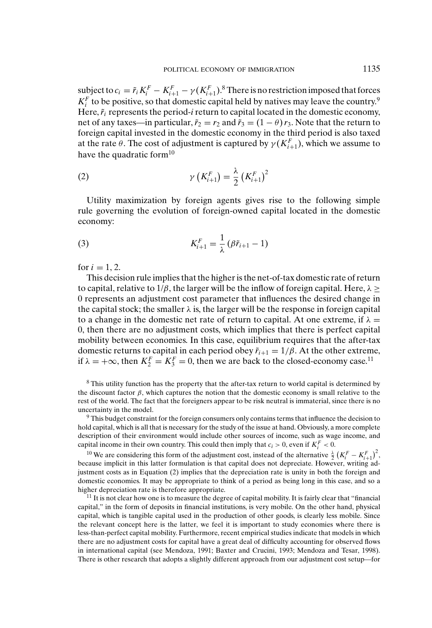subject to  $c_i = \tilde{r}_i K_i^F - K_{i+1}^F - \gamma (K_{i+1}^F)$ .<sup>8</sup> There is no restriction imposed that forces  $K_i^F$  to be positive, so that domestic capital held by natives may leave the country.<sup>9</sup> Here,  $\tilde{r}_i$  represents the period- $i$  return to capital located in the domestic economy, net of any taxes—in particular,  $\tilde{r}_2 = r_2$  and  $\tilde{r}_3 = (1 - \theta) r_3$ . Note that the return to foreign capital invested in the domestic economy in the third period is also taxed at the rate  $\theta$ . The cost of adjustment is captured by  $\gamma(K_{i+1}^F)$ , which we assume to have the quadratic form $10$ 

(2) 
$$
\gamma(K_{i+1}^F) = \frac{\lambda}{2} (K_{i+1}^F)^2
$$

Utility maximization by foreign agents gives rise to the following simple rule governing the evolution of foreign-owned capital located in the domestic economy:

(3) 
$$
K_{i+1}^{F} = \frac{1}{\lambda} (\beta \tilde{r}_{i+1} - 1)
$$

for  $i = 1, 2$ .

This decision rule implies that the higher is the net-of-tax domestic rate of return to capital, relative to  $1/\beta$ , the larger will be the inflow of foreign capital. Here,  $\lambda$  > 0 represents an adjustment cost parameter that influences the desired change in the capital stock; the smaller  $\lambda$  is, the larger will be the response in foreign capital to a change in the domestic net rate of return to capital. At one extreme, if  $\lambda =$ 0, then there are no adjustment costs, which implies that there is perfect capital mobility between economies. In this case, equilibrium requires that the after-tax domestic returns to capital in each period obey  $\tilde{r}_{i+1} = 1/\beta$ . At the other extreme, if  $\lambda = +\infty$ , then  $K_2^F = K_3^F = 0$ , then we are back to the closed-economy case.<sup>11</sup>

<sup>8</sup> This utility function has the property that the after-tax return to world capital is determined by the discount factor  $\beta$ , which captures the notion that the domestic economy is small relative to the rest of the world. The fact that the foreigners appear to be risk neutral is immaterial, since there is no uncertainty in the model.

<sup>9</sup> This budget constraint for the foreign consumers only contains terms that influence the decision to hold capital, which is all that is necessary for the study of the issue at hand. Obviously, a more complete description of their environment would include other sources of income, such as wage income, and capital income in their own country. This could then imply that  $c_i > 0$ , even if  $K_i^F < 0$ .

<sup>10</sup> We are considering this form of the adjustment cost, instead of the alternative  $\frac{\lambda}{2} (K_i^F - K_{i+1}^F)^2$ , because implicit in this latter formulation is that capital does not depreciate. However, writing adjustment costs as in Equation (2) implies that the depreciation rate is unity in both the foreign and domestic economies. It may be appropriate to think of a period as being long in this case, and so a higher depreciation rate is therefore appropriate.

<sup>11</sup> It is not clear how one is to measure the degree of capital mobility. It is fairly clear that "financial" capital," in the form of deposits in financial institutions, is very mobile. On the other hand, physical capital, which is tangible capital used in the production of other goods, is clearly less mobile. Since the relevant concept here is the latter, we feel it is important to study economies where there is less-than-perfect capital mobility. Furthermore, recent empirical studies indicate that models in which there are no adjustment costs for capital have a great deal of difficulty accounting for observed flows in international capital (see Mendoza, 1991; Baxter and Crucini, 1993; Mendoza and Tesar, 1998). There is other research that adopts a slightly different approach from our adjustment cost setup—for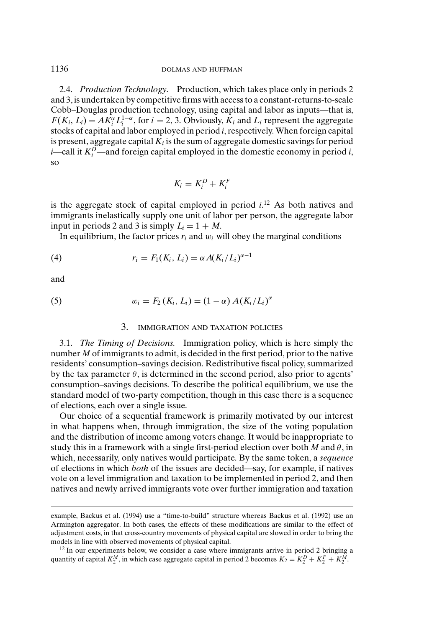2.4. *Production Technology.* Production, which takes place only in periods 2 and 3, is undertaken by competitive firms with access to a constant-returns-to-scale Cobb–Douglas production technology, using capital and labor as inputs—that is,  $F(K_i, L_i) = AK_i^{\alpha}L_i^{1-\alpha}$ , for *i* = 2, 3. Obviously,  $\hat{K}_i$  and  $L_i$  represent the aggregate stocks of capital and labor employed in period *i*, respectively. When foreign capital is present, aggregate capital  $K_i$  is the sum of aggregate domestic savings for period *i*—call it  $K_i^D$ —and foreign capital employed in the domestic economy in period *i*, so

$$
K_i = K_i^D + K_i^F
$$

is the aggregate stock of capital employed in period *i*. <sup>12</sup> As both natives and immigrants inelastically supply one unit of labor per person, the aggregate labor input in periods 2 and 3 is simply  $L<sub>i</sub> = 1 + M$ .

In equilibrium, the factor prices  $r_i$  and  $w_i$  will obey the marginal conditions

(4) 
$$
r_i = F_1(K_i, L_i) = \alpha A (K_i/L_i)^{\alpha - 1}
$$

and

(5) 
$$
w_i = F_2(K_i, L_i) = (1 - \alpha) A(K_i/L_i)^{\alpha}
$$

### 3. IMMIGRATION AND TAXATION POLICIES

3.1. *The Timing of Decisions.* Immigration policy, which is here simply the number *M* of immigrants to admit, is decided in the first period, prior to the native residents' consumption–savings decision. Redistributive fiscal policy, summarized by the tax parameter  $\theta$ , is determined in the second period, also prior to agents' consumption–savings decisions. To describe the political equilibrium, we use the standard model of two-party competition, though in this case there is a sequence of elections, each over a single issue.

Our choice of a sequential framework is primarily motivated by our interest in what happens when, through immigration, the size of the voting population and the distribution of income among voters change. It would be inappropriate to study this in a framework with a single first-period election over both  $M$  and  $\theta$ , in which, necessarily, only natives would participate. By the same token, a *sequence* of elections in which *both* of the issues are decided—say, for example, if natives vote on a level immigration and taxation to be implemented in period 2, and then natives and newly arrived immigrants vote over further immigration and taxation

example, Backus et al. (1994) use a "time-to-build" structure whereas Backus et al. (1992) use an Armington aggregator. In both cases, the effects of these modifications are similar to the effect of adjustment costs, in that cross-country movements of physical capital are slowed in order to bring the models in line with observed movements of physical capital.

 $12$  In our experiments below, we consider a case where immigrants arrive in period 2 bringing a quantity of capital  $K_2^M$ , in which case aggregate capital in period 2 becomes  $K_2 = K_2^D + K_2^F + K_2^M$ .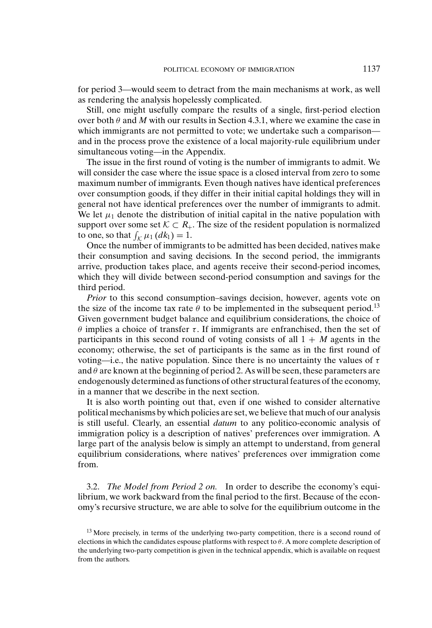for period 3—would seem to detract from the main mechanisms at work, as well as rendering the analysis hopelessly complicated.

Still, one might usefully compare the results of a single, first-period election over both  $\theta$  and  $M$  with our results in Section 4.3.1, where we examine the case in which immigrants are not permitted to vote; we undertake such a comparison and in the process prove the existence of a local majority-rule equilibrium under simultaneous voting—in the Appendix.

The issue in the first round of voting is the number of immigrants to admit. We will consider the case where the issue space is a closed interval from zero to some maximum number of immigrants. Even though natives have identical preferences over consumption goods, if they differ in their initial capital holdings they will in general not have identical preferences over the number of immigrants to admit. We let  $\mu_1$  denote the distribution of initial capital in the native population with support over some set  $K \subset R_+$ . The size of the resident population is normalized to one, so that  $\int_K \mu_1(dk_1) = 1$ .

Once the number of immigrants to be admitted has been decided, natives make their consumption and saving decisions. In the second period, the immigrants arrive, production takes place, and agents receive their second-period incomes, which they will divide between second-period consumption and savings for the third period.

*Prior* to this second consumption–savings decision, however, agents vote on the size of the income tax rate  $\theta$  to be implemented in the subsequent period.<sup>13</sup> Given government budget balance and equilibrium considerations, the choice of θ implies a choice of transfer τ. If immigrants are enfranchised, then the set of participants in this second round of voting consists of all  $1 + M$  agents in the economy; otherwise, the set of participants is the same as in the first round of voting—i.e., the native population. Since there is no uncertainty the values of  $\tau$ and  $\theta$  are known at the beginning of period 2. As will be seen, these parameters are endogenously determined as functions of other structural features of the economy, in a manner that we describe in the next section.

It is also worth pointing out that, even if one wished to consider alternative political mechanisms by which policies are set, we believe that much of our analysis is still useful. Clearly, an essential *datum* to any politico-economic analysis of immigration policy is a description of natives' preferences over immigration. A large part of the analysis below is simply an attempt to understand, from general equilibrium considerations, where natives' preferences over immigration come from.

3.2. *The Model from Period 2 on.* In order to describe the economy's equilibrium, we work backward from the final period to the first. Because of the economy's recursive structure, we are able to solve for the equilibrium outcome in the

<sup>&</sup>lt;sup>13</sup> More precisely, in terms of the underlying two-party competition, there is a second round of elections in which the candidates espouse platforms with respect to  $\theta$ . A more complete description of the underlying two-party competition is given in the technical appendix, which is available on request from the authors.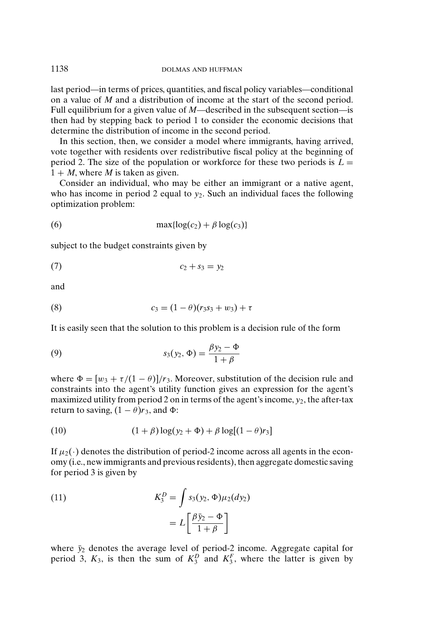last period—in terms of prices, quantities, and fiscal policy variables—conditional on a value of *M* and a distribution of income at the start of the second period. Full equilibrium for a given value of *M*—described in the subsequent section—is then had by stepping back to period 1 to consider the economic decisions that determine the distribution of income in the second period.

In this section, then, we consider a model where immigrants, having arrived, vote together with residents over redistributive fiscal policy at the beginning of period 2. The size of the population or workforce for these two periods is  $L =$  $1 + M$ , where *M* is taken as given.

Consider an individual, who may be either an immigrant or a native agent, who has income in period 2 equal to  $y_2$ . Such an individual faces the following optimization problem:

(6) 
$$
\max\{\log(c_2) + \beta \log(c_3)\}\
$$

subject to the budget constraints given by

$$
(7) \hspace{3.1em} c_2 + s_3 = y_2
$$

and

(8) 
$$
c_3 = (1 - \theta)(r_3 s_3 + w_3) + \tau
$$

It is easily seen that the solution to this problem is a decision rule of the form

(9) 
$$
s_3(y_2, \Phi) = \frac{\beta y_2 - \Phi}{1 + \beta}
$$

where  $\Phi = \frac{w_3 + \tau}{(1 - \theta)}$ / $r_3$ . Moreover, substitution of the decision rule and constraints into the agent's utility function gives an expression for the agent's maximized utility from period 2 on in terms of the agent's income,  $y_2$ , the after-tax return to saving,  $(1 - \theta)r_3$ , and  $\Phi$ :

(10) 
$$
(1+\beta)\log(y_2+\Phi) + \beta \log[(1-\theta)r_3]
$$

If  $\mu_2(\cdot)$  denotes the distribution of period-2 income across all agents in the economy (i.e., new immigrants and previous residents), then aggregate domestic saving for period 3 is given by

(11)  

$$
K_3^D = \int s_3(y_2, \Phi) \mu_2(dy_2)
$$

$$
= L \left[ \frac{\beta \bar{y}_2 - \Phi}{1 + \beta} \right]
$$

where  $\bar{y}_2$  denotes the average level of period-2 income. Aggregate capital for period 3,  $K_3$ , is then the sum of  $K_3^D$  and  $K_3^F$ , where the latter is given by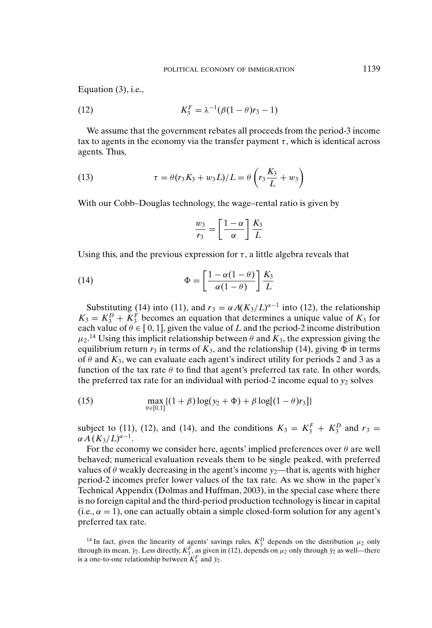Equation (3), i.e.,

(12) 
$$
K_3^F = \lambda^{-1}(\beta(1-\theta)r_3 - 1)
$$

We assume that the government rebates all proceeds from the period-3 income tax to agents in the economy via the transfer payment  $\tau$ , which is identical across agents. Thus,

(13) 
$$
\tau = \theta(r_3 K_3 + w_3 L)/L = \theta\left(r_3 \frac{K_3}{L} + w_3\right)
$$

With our Cobb–Douglas technology, the wage–rental ratio is given by

$$
\frac{w_3}{r_3} = \left[\frac{1-\alpha}{\alpha}\right] \frac{K_3}{L}
$$

Using this, and the previous expression for  $\tau$ , a little algebra reveals that

(14) 
$$
\Phi = \left[\frac{1-\alpha(1-\theta)}{\alpha(1-\theta)}\right]\frac{K_3}{L}
$$

Substituting (14) into (11), and  $r_3 = \alpha A (K_3/L)^{\alpha-1}$  into (12), the relationship  $K_3 = K_3^D + K_3^F$  becomes an equation that determines a unique value of  $K_3$  for each value of  $\theta \in [0, 1]$ , given the value of *L* and the period-2 income distribution  $\mu_2$ <sup>14</sup> Using this implicit relationship between  $\theta$  and  $K_3$ , the expression giving the equilibrium return  $r_3$  in terms of  $K_3$ , and the relationship (14), giving  $\Phi$  in terms of  $\theta$  and  $K_3$ , we can evaluate each agent's indirect utility for periods 2 and 3 as a function of the tax rate  $\theta$  to find that agent's preferred tax rate. In other words, the preferred tax rate for an individual with period-2 income equal to  $y_2$  solves

(15) 
$$
\max_{\theta \in [0,1]} \{ (1+\beta) \log(y_2 + \Phi) + \beta \log[(1-\theta)r_3] \}
$$

subject to (11), (12), and (14), and the conditions  $K_3 = K_3^F + K_3^D$  and  $r_3 =$  $\alpha A(K_3/L)^{\alpha-1}$ .

For the economy we consider here, agents' implied preferences over  $\theta$  are well behaved; numerical evaluation reveals them to be single peaked, with preferred values of  $\theta$  weakly decreasing in the agent's income  $y_2$ —that is, agents with higher period-2 incomes prefer lower values of the tax rate. As we show in the paper's Technical Appendix (Dolmas and Huffman, 2003), in the special case where there is no foreign capital and the third-period production technology is linear in capital (i.e.,  $\alpha = 1$ ), one can actually obtain a simple closed-form solution for any agent's preferred tax rate.

<sup>&</sup>lt;sup>14</sup> In fact, given the linearity of agents' savings rules,  $K_3^D$  depends on the distribution  $\mu_2$  only through its mean,  $\bar{y}_2$ . Less directly,  $K_3^F$ , as given in (12), depends on  $\mu_2$  only through  $\bar{y}_2$  as well—there is a one-to-one relationship between  $K_3^F$  and  $\bar{y}_2$ .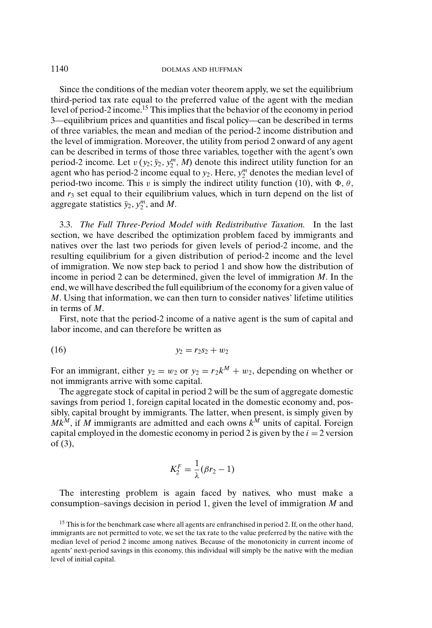## 1140 DOLMAS AND HUFFMAN

Since the conditions of the median voter theorem apply, we set the equilibrium third-period tax rate equal to the preferred value of the agent with the median level of period-2 income.<sup>15</sup> This implies that the behavior of the economy in period 3—equilibrium prices and quantities and fiscal policy—can be described in terms of three variables, the mean and median of the period-2 income distribution and the level of immigration. Moreover, the utility from period 2 onward of any agent can be described in terms of those three variables, together with the agent's own period-2 income. Let  $v(y_2; \bar{y}_2, y_2^m, M)$  denote this indirect utility function for an agent who has period-2 income equal to  $y_2$ . Here,  $y_2^m$  denotes the median level of period-two income. This v is simply the indirect utility function (10), with  $\Phi$ ,  $\theta$ , and *r*<sup>3</sup> set equal to their equilibrium values, which in turn depend on the list of aggregate statistics  $\bar{y}_2$ ,  $y_2^m$ , and *M*.

3.3. *The Full Three-Period Model with Redistributive Taxation.* In the last section, we have described the optimization problem faced by immigrants and natives over the last two periods for given levels of period-2 income, and the resulting equilibrium for a given distribution of period-2 income and the level of immigration. We now step back to period 1 and show how the distribution of income in period 2 can be determined, given the level of immigration *M*. In the end, we will have described the full equilibrium of the economy for a given value of *M*. Using that information, we can then turn to consider natives' lifetime utilities in terms of *M*.

First, note that the period-2 income of a native agent is the sum of capital and labor income, and can therefore be written as

$$
(16) \t\t\t y_2 = r_2 s_2 + w_2
$$

For an immigrant, either  $y_2 = w_2$  or  $y_2 = r_2 k^M + w_2$ , depending on whether or not immigrants arrive with some capital.

The aggregate stock of capital in period 2 will be the sum of aggregate domestic savings from period 1, foreign capital located in the domestic economy and, possibly, capital brought by immigrants. The latter, when present, is simply given by  $Mk^M$ , if *M* immigrants are admitted and each owns  $k^M$  units of capital. Foreign capital employed in the domestic economy in period 2 is given by the  $i = 2$  version of (3),

$$
K_2^F = \frac{1}{\lambda}(\beta r_2 - 1)
$$

The interesting problem is again faced by natives, who must make a consumption–savings decision in period 1, given the level of immigration *M* and

<sup>&</sup>lt;sup>15</sup> This is for the benchmark case where all agents are enfranchised in period 2. If, on the other hand, immigrants are not permitted to vote, we set the tax rate to the value preferred by the native with the median level of period 2 income among natives. Because of the monotonicity in current income of agents' next-period savings in this economy, this individual will simply be the native with the median level of initial capital.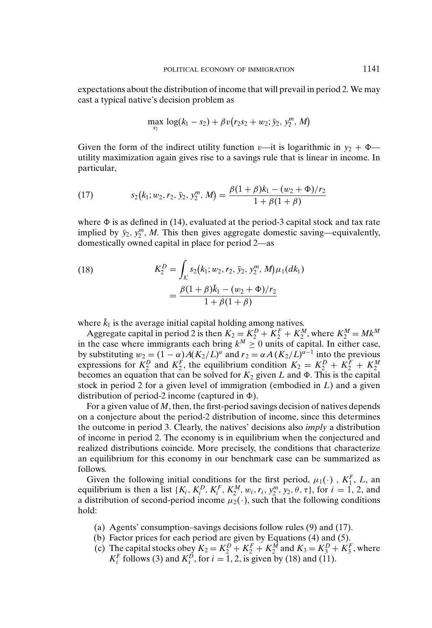expectations about the distribution of income that will prevail in period 2. We may cast a typical native's decision problem as

$$
\max_{s_2} \log(k_1 - s_2) + \beta v (r_2 s_2 + w_2; \bar{y}_2, y_2^m, M)
$$

Given the form of the indirect utility function v—it is logarithmic in  $y_2 + \Phi$  utility maximization again gives rise to a savings rule that is linear in income. In particular,

(17) 
$$
s_2(k_1; w_2, r_2, \bar{y}_2, y_2^m, M) = \frac{\beta(1+\beta)k_1 - (w_2+\Phi)/r_2}{1+\beta(1+\beta)}
$$

where  $\Phi$  is as defined in (14), evaluated at the period-3 capital stock and tax rate implied by  $\bar{y}_2$ ,  $y_2^m$ , *M*. This then gives aggregate domestic saving—equivalently, domestically owned capital in place for period 2—as

(18) 
$$
K_2^D = \int_{\mathcal{K}} s_2(k_1; w_2, r_2, \bar{y}_2, y_2^m, M) \mu_1(dk_1)
$$

$$
= \frac{\beta(1+\beta)\bar{k}_1 - (w_2+\Phi)/r_2}{1+\beta(1+\beta)}
$$

where  $\bar{k}_1$  is the average initial capital holding among natives.

Aggregate capital in period 2 is then  $K_2 = K_2^D + K_2^F + K_2^M$ , where  $K_2^M = Mk^M$ in the case where immigrants each bring  $k^M \geq 0$  units of capital. In either case, by substituting  $w_2 = (1 - \alpha)A(K_2/L)^\alpha$  and  $r_2 = \alpha A(K_2/L)^{\alpha-1}$  into the previous expressions for  $K_2^D$  and  $K_2^F$ , the equilibrium condition  $K_2 = K_2^D + K_2^F + K_2^M$ becomes an equation that can be solved for  $K_2$  given  $L$  and  $\Phi$ . This is the capital stock in period 2 for a given level of immigration (embodied in *L*) and a given distribution of period-2 income (captured in  $\Phi$ ).

For a given value of *M*, then, the first-period savings decision of natives depends on a conjecture about the period-2 distribution of income, since this determines the outcome in period 3. Clearly, the natives' decisions also *imply* a distribution of income in period 2. The economy is in equilibrium when the conjectured and realized distributions coincide. More precisely, the conditions that characterize an equilibrium for this economy in our benchmark case can be summarized as follows.

Given the following initial conditions for the first period,  $\mu_1(\cdot)$ ,  $K_1^F$ , L, an equilibrium is then a list  $\{K_i, K_i^D, K_i^F, K_2^M, w_i, r_i, y_2^m, y_2, \theta, \tau\}$ , for  $i = 1, 2$ , and a distribution of second-period income  $\mu_2(\cdot)$ , such that the following conditions hold:

- (a) Agents' consumption–savings decisions follow rules (9) and (17).
- (b) Factor prices for each period are given by Equations (4) and (5).
- (c) The capital stocks obey  $K_2 = K_2^D + K_2^F + K_2^M$  and  $K_3 = K_3^D + K_3^F$ , where  $K_i^F$  follows (3) and  $K_i^D$ , for  $i = 1, 2$ , is given by (18) and (11).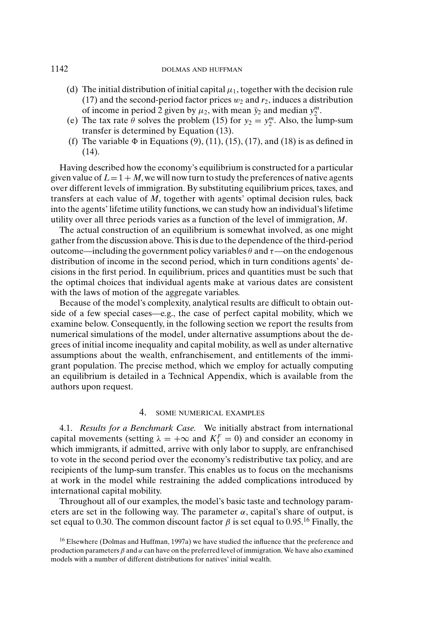## 1142 DOLMAS AND HUFFMAN

- (d) The initial distribution of initial capital  $\mu_1$ , together with the decision rule (17) and the second-period factor prices  $w_2$  and  $r_2$ , induces a distribution of income in period 2 given by  $\mu_2$ , with mean  $\bar{y}_2$  and median  $y_2^m$ .
- (e) The tax rate  $\theta$  solves the problem (15) for  $y_2 = y_2^m$ . Also, the lump-sum transfer is determined by Equation (13).
- (f) The variable  $\Phi$  in Equations (9), (11), (15), (17), and (18) is as defined in (14).

Having described how the economy's equilibrium is constructed for a particular given value of  $L = 1 + M$ , we will now turn to study the preferences of native agents over different levels of immigration. By substituting equilibrium prices, taxes, and transfers at each value of *M*, together with agents' optimal decision rules, back into the agents' lifetime utility functions, we can study how an individual's lifetime utility over all three periods varies as a function of the level of immigration, *M*.

The actual construction of an equilibrium is somewhat involved, as one might gather from the discussion above. This is due to the dependence of the third-period outcome—including the government policy variables  $θ$  and  $τ$ —on the endogenous distribution of income in the second period, which in turn conditions agents' decisions in the first period. In equilibrium, prices and quantities must be such that the optimal choices that individual agents make at various dates are consistent with the laws of motion of the aggregate variables.

Because of the model's complexity, analytical results are difficult to obtain outside of a few special cases—e.g., the case of perfect capital mobility, which we examine below. Consequently, in the following section we report the results from numerical simulations of the model, under alternative assumptions about the degrees of initial income inequality and capital mobility, as well as under alternative assumptions about the wealth, enfranchisement, and entitlements of the immigrant population. The precise method, which we employ for actually computing an equilibrium is detailed in a Technical Appendix, which is available from the authors upon request.

## 4. SOME NUMERICAL EXAMPLES

4.1. *Results for a Benchmark Case.* We initially abstract from international capital movements (setting  $\lambda = +\infty$  and  $K_1^F = 0$ ) and consider an economy in which immigrants, if admitted, arrive with only labor to supply, are enfranchised to vote in the second period over the economy's redistributive tax policy, and are recipients of the lump-sum transfer. This enables us to focus on the mechanisms at work in the model while restraining the added complications introduced by international capital mobility.

Throughout all of our examples, the model's basic taste and technology parameters are set in the following way. The parameter  $\alpha$ , capital's share of output, is set equal to 0.30. The common discount factor  $\beta$  is set equal to 0.95.<sup>16</sup> Finally, the

<sup>&</sup>lt;sup>16</sup> Elsewhere (Dolmas and Huffman, 1997a) we have studied the influence that the preference and production parameters  $\beta$  and  $\alpha$  can have on the preferred level of immigration. We have also examined models with a number of different distributions for natives' initial wealth.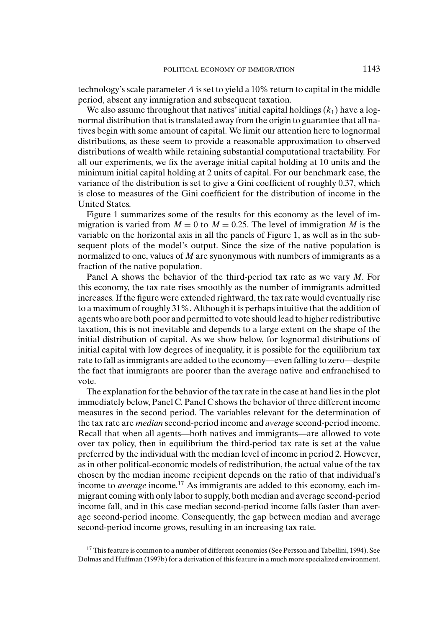technology's scale parameter *A* is set to yield a 10% return to capital in the middle period, absent any immigration and subsequent taxation.

We also assume throughout that natives' initial capital holdings  $(k_1)$  have a lognormal distribution that is translated away from the origin to guarantee that all natives begin with some amount of capital. We limit our attention here to lognormal distributions, as these seem to provide a reasonable approximation to observed distributions of wealth while retaining substantial computational tractability. For all our experiments, we fix the average initial capital holding at 10 units and the minimum initial capital holding at 2 units of capital. For our benchmark case, the variance of the distribution is set to give a Gini coefficient of roughly 0.37, which is close to measures of the Gini coefficient for the distribution of income in the United States.

Figure 1 summarizes some of the results for this economy as the level of immigration is varied from  $M = 0$  to  $M = 0.25$ . The level of immigration M is the variable on the horizontal axis in all the panels of Figure 1, as well as in the subsequent plots of the model's output. Since the size of the native population is normalized to one, values of *M* are synonymous with numbers of immigrants as a fraction of the native population.

Panel A shows the behavior of the third-period tax rate as we vary *M*. For this economy, the tax rate rises smoothly as the number of immigrants admitted increases. If the figure were extended rightward, the tax rate would eventually rise to a maximum of roughly 31%. Although it is perhaps intuitive that the addition of agents who are both poor and permitted to vote should lead to higher redistributive taxation, this is not inevitable and depends to a large extent on the shape of the initial distribution of capital. As we show below, for lognormal distributions of initial capital with low degrees of inequality, it is possible for the equilibrium tax rate to fall as immigrants are added to the economy—even falling to zero—despite the fact that immigrants are poorer than the average native and enfranchised to vote.

The explanation for the behavior of the tax rate in the case at hand lies in the plot immediately below, Panel C. Panel C shows the behavior of three different income measures in the second period. The variables relevant for the determination of the tax rate are *median* second-period income and *average* second-period income. Recall that when all agents—both natives and immigrants—are allowed to vote over tax policy, then in equilibrium the third-period tax rate is set at the value preferred by the individual with the median level of income in period 2. However, as in other political-economic models of redistribution, the actual value of the tax chosen by the median income recipient depends on the ratio of that individual's income to *average* income.<sup>17</sup> As immigrants are added to this economy, each immigrant coming with only labor to supply, both median and average second-period income fall, and in this case median second-period income falls faster than average second-period income. Consequently, the gap between median and average second-period income grows, resulting in an increasing tax rate.

<sup>&</sup>lt;sup>17</sup> This feature is common to a number of different economies (See Persson and Tabellini, 1994). See Dolmas and Huffman (1997b) for a derivation of this feature in a much more specialized environment.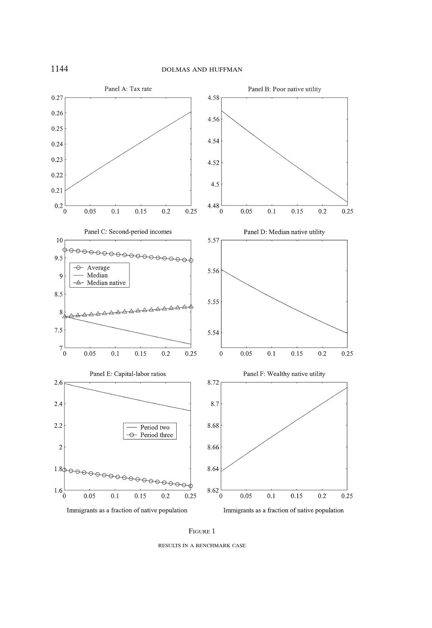

FIGURE 1

RESULTS IN A BENCHMARK CASE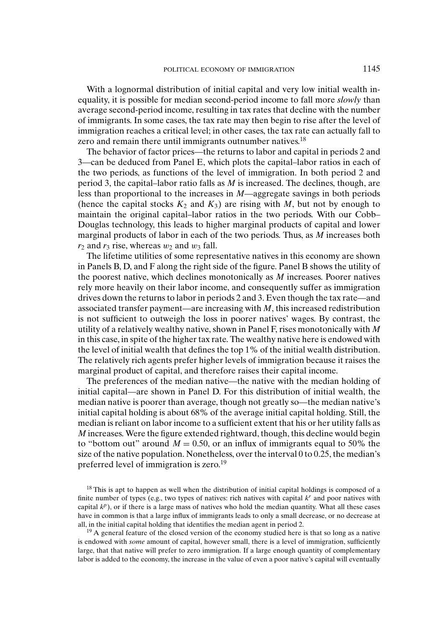With a lognormal distribution of initial capital and very low initial wealth inequality, it is possible for median second-period income to fall more *slowly* than average second-period income, resulting in tax rates that decline with the number of immigrants. In some cases, the tax rate may then begin to rise after the level of immigration reaches a critical level; in other cases, the tax rate can actually fall to zero and remain there until immigrants outnumber natives.<sup>18</sup>

The behavior of factor prices—the returns to labor and capital in periods 2 and 3—can be deduced from Panel E, which plots the capital–labor ratios in each of the two periods, as functions of the level of immigration. In both period 2 and period 3, the capital–labor ratio falls as *M* is increased. The declines, though, are less than proportional to the increases in *M*—aggregate savings in both periods (hence the capital stocks  $K_2$  and  $K_3$ ) are rising with *M*, but not by enough to maintain the original capital–labor ratios in the two periods. With our Cobb– Douglas technology, this leads to higher marginal products of capital and lower marginal products of labor in each of the two periods. Thus, as *M* increases both  $r_2$  and  $r_3$  rise, whereas  $w_2$  and  $w_3$  fall.

The lifetime utilities of some representative natives in this economy are shown in Panels B, D, and F along the right side of the figure. Panel B shows the utility of the poorest native, which declines monotonically as *M* increases. Poorer natives rely more heavily on their labor income, and consequently suffer as immigration drives down the returns to labor in periods 2 and 3. Even though the tax rate—and associated transfer payment—are increasing with *M*, this increased redistribution is not sufficient to outweigh the loss in poorer natives' wages. By contrast, the utility of a relatively wealthy native, shown in Panel F, rises monotonically with *M* in this case, in spite of the higher tax rate. The wealthy native here is endowed with the level of initial wealth that defines the top 1% of the initial wealth distribution. The relatively rich agents prefer higher levels of immigration because it raises the marginal product of capital, and therefore raises their capital income.

The preferences of the median native—the native with the median holding of initial capital—are shown in Panel D. For this distribution of initial wealth, the median native is poorer than average, though not greatly so—the median native's initial capital holding is about 68% of the average initial capital holding. Still, the median is reliant on labor income to a sufficient extent that his or her utility falls as *M* increases. Were the figure extended rightward, though, this decline would begin to "bottom out" around  $M = 0.50$ , or an influx of immigrants equal to 50% the size of the native population. Nonetheless, over the interval 0 to 0.25, the median's preferred level of immigration is zero.<sup>19</sup>

 $^{18}$  This is apt to happen as well when the distribution of initial capital holdings is composed of a finite number of types (e.g., two types of natives: rich natives with capital  $k<sup>r</sup>$  and poor natives with capital  $k^p$ ), or if there is a large mass of natives who hold the median quantity. What all these cases have in common is that a large influx of immigrants leads to only a small decrease, or no decrease at all, in the initial capital holding that identifies the median agent in period 2.

 $19$  A general feature of the closed version of the economy studied here is that so long as a native is endowed with *some* amount of capital, however small, there is a level of immigration, sufficiently large, that that native will prefer to zero immigration. If a large enough quantity of complementary labor is added to the economy, the increase in the value of even a poor native's capital will eventually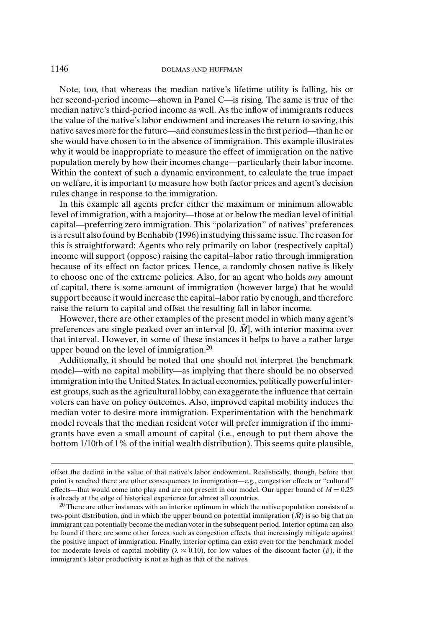## 1146 DOLMAS AND HUFFMAN

Note, too, that whereas the median native's lifetime utility is falling, his or her second-period income—shown in Panel C—is rising. The same is true of the median native's third-period income as well. As the inflow of immigrants reduces the value of the native's labor endowment and increases the return to saving, this native saves more for the future—and consumes less in the first period—than he or she would have chosen to in the absence of immigration. This example illustrates why it would be inappropriate to measure the effect of immigration on the native population merely by how their incomes change—particularly their labor income. Within the context of such a dynamic environment, to calculate the true impact on welfare, it is important to measure how both factor prices and agent's decision rules change in response to the immigration.

In this example all agents prefer either the maximum or minimum allowable level of immigration, with a majority—those at or below the median level of initial capital—preferring zero immigration. This "polarization" of natives' preferences is a result also found by Benhabib (1996) in studying this same issue. The reason for this is straightforward: Agents who rely primarily on labor (respectively capital) income will support (oppose) raising the capital–labor ratio through immigration because of its effect on factor prices. Hence, a randomly chosen native is likely to choose one of the extreme policies. Also, for an agent who holds *any* amount of capital, there is some amount of immigration (however large) that he would support because it would increase the capital–labor ratio by enough, and therefore raise the return to capital and offset the resulting fall in labor income.

However, there are other examples of the present model in which many agent's preferences are single peaked over an interval  $[0, \overline{M}]$ , with interior maxima over that interval. However, in some of these instances it helps to have a rather large upper bound on the level of immigration.<sup>20</sup>

Additionally, it should be noted that one should not interpret the benchmark model—with no capital mobility—as implying that there should be no observed immigration into the United States. In actual economies, politically powerful interest groups, such as the agricultural lobby, can exaggerate the influence that certain voters can have on policy outcomes. Also, improved capital mobility induces the median voter to desire more immigration. Experimentation with the benchmark model reveals that the median resident voter will prefer immigration if the immigrants have even a small amount of capital (i.e., enough to put them above the bottom 1/10th of 1% of the initial wealth distribution). This seems quite plausible,

offset the decline in the value of that native's labor endowment. Realistically, though, before that point is reached there are other consequences to immigration—e.g., congestion effects or "cultural" effects—that would come into play and are not present in our model. Our upper bound of  $M = 0.25$ is already at the edge of historical experience for almost all countries.

<sup>&</sup>lt;sup>20</sup> There are other instances with an interior optimum in which the native population consists of a two-point distribution, and in which the upper bound on potential immigration  $(\bar{M})$  is so big that an immigrant can potentially become the median voter in the subsequent period. Interior optima can also be found if there are some other forces, such as congestion effects, that increasingly mitigate against the positive impact of immigration. Finally, interior optima can exist even for the benchmark model for moderate levels of capital mobility ( $\lambda \approx 0.10$ ), for low values of the discount factor ( $\beta$ ), if the immigrant's labor productivity is not as high as that of the natives.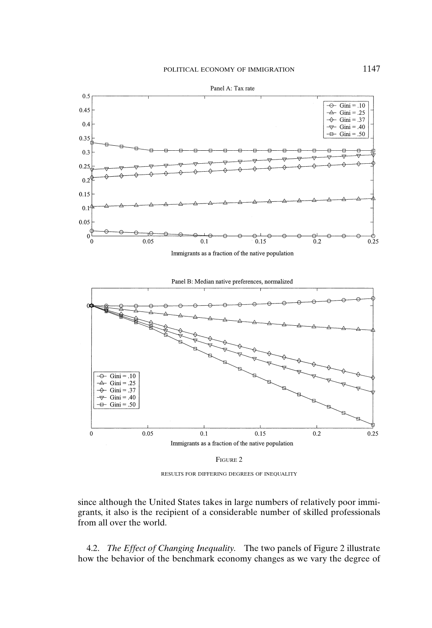

FIGURE 2

RESULTS FOR DIFFERING DEGREES OF INEQUALITY

since although the United States takes in large numbers of relatively poor immigrants, it also is the recipient of a considerable number of skilled professionals from all over the world.

4.2. *The Effect of Changing Inequality.* The two panels of Figure 2 illustrate how the behavior of the benchmark economy changes as we vary the degree of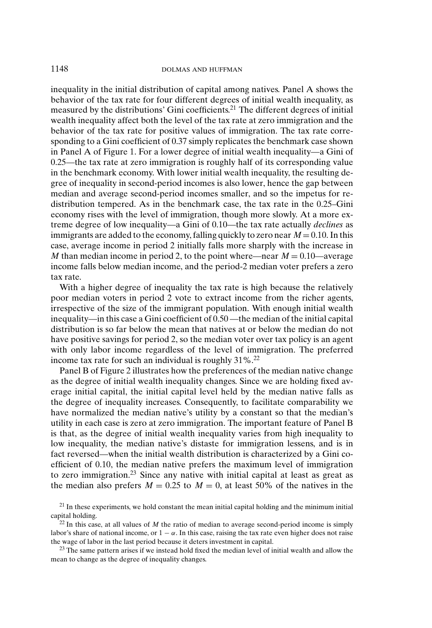### 1148 DOLMAS AND HUFFMAN

inequality in the initial distribution of capital among natives. Panel A shows the behavior of the tax rate for four different degrees of initial wealth inequality, as measured by the distributions' Gini coefficients.<sup>21</sup> The different degrees of initial wealth inequality affect both the level of the tax rate at zero immigration and the behavior of the tax rate for positive values of immigration. The tax rate corresponding to a Gini coefficient of 0.37 simply replicates the benchmark case shown in Panel A of Figure 1. For a lower degree of initial wealth inequality—a Gini of 0.25—the tax rate at zero immigration is roughly half of its corresponding value in the benchmark economy. With lower initial wealth inequality, the resulting degree of inequality in second-period incomes is also lower, hence the gap between median and average second-period incomes smaller, and so the impetus for redistribution tempered. As in the benchmark case, the tax rate in the 0.25–Gini economy rises with the level of immigration, though more slowly. At a more extreme degree of low inequality—a Gini of 0.10—the tax rate actually *declines* as immigrants are added to the economy, falling quickly to zero near  $M = 0.10$ . In this case, average income in period 2 initially falls more sharply with the increase in *M* than median income in period 2, to the point where—near  $M = 0.10$ —average income falls below median income, and the period-2 median voter prefers a zero tax rate.

With a higher degree of inequality the tax rate is high because the relatively poor median voters in period 2 vote to extract income from the richer agents, irrespective of the size of the immigrant population. With enough initial wealth inequality—in this case a Gini coefficient of 0.50 —the median of the initial capital distribution is so far below the mean that natives at or below the median do not have positive savings for period 2, so the median voter over tax policy is an agent with only labor income regardless of the level of immigration. The preferred income tax rate for such an individual is roughly  $31\%$ <sup>22</sup>

Panel B of Figure 2 illustrates how the preferences of the median native change as the degree of initial wealth inequality changes. Since we are holding fixed average initial capital, the initial capital level held by the median native falls as the degree of inequality increases. Consequently, to facilitate comparability we have normalized the median native's utility by a constant so that the median's utility in each case is zero at zero immigration. The important feature of Panel B is that, as the degree of initial wealth inequality varies from high inequality to low inequality, the median native's distaste for immigration lessens, and is in fact reversed—when the initial wealth distribution is characterized by a Gini coefficient of 0.10, the median native prefers the maximum level of immigration to zero immigration.<sup>23</sup> Since any native with initial capital at least as great as the median also prefers  $M = 0.25$  to  $M = 0$ , at least 50% of the natives in the

 $21$  In these experiments, we hold constant the mean initial capital holding and the minimum initial capital holding.

 $22$  In this case, at all values of *M* the ratio of median to average second-period income is simply labor's share of national income, or  $1 - \alpha$ . In this case, raising the tax rate even higher does not raise the wage of labor in the last period because it deters investment in capital.

<sup>&</sup>lt;sup>23</sup> The same pattern arises if we instead hold fixed the median level of initial wealth and allow the mean to change as the degree of inequality changes.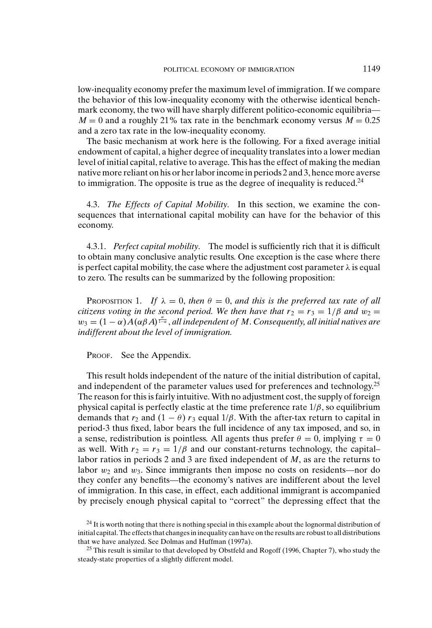low-inequality economy prefer the maximum level of immigration. If we compare the behavior of this low-inequality economy with the otherwise identical benchmark economy, the two will have sharply different politico-economic equilibria—  $M = 0$  and a roughly 21% tax rate in the benchmark economy versus  $M = 0.25$ and a zero tax rate in the low-inequality economy.

The basic mechanism at work here is the following. For a fixed average initial endowment of capital, a higher degree of inequality translates into a lower median level of initial capital, relative to average. This has the effect of making the median native more reliant on his or her labor income in periods 2 and 3, hence more averse to immigration. The opposite is true as the degree of inequality is reduced.<sup>24</sup>

4.3. *The Effects of Capital Mobility.* In this section, we examine the consequences that international capital mobility can have for the behavior of this economy.

4.3.1. *Perfect capital mobility.* The model is sufficiently rich that it is difficult to obtain many conclusive analytic results. One exception is the case where there is perfect capital mobility, the case where the adjustment cost parameter  $\lambda$  is equal to zero. The results can be summarized by the following proposition:

PROPOSITION 1. If  $\lambda = 0$ , then  $\theta = 0$ , and this is the preferred tax rate of all *citizens voting in the second period. We then have that*  $r_2 = r_3 = 1/\beta$  *and*  $w_2 =$  $w_3 = (1 - \alpha)A(\alpha \beta A)^{\frac{\alpha}{1 - \alpha}}$ , all independent of M. Consequently, all initial natives are *indifferent about the level of immigration.*

PROOF. See the Appendix.

This result holds independent of the nature of the initial distribution of capital, and independent of the parameter values used for preferences and technology.<sup>25</sup> The reason for this is fairly intuitive. With no adjustment cost, the supply of foreign physical capital is perfectly elastic at the time preference rate  $1/\beta$ , so equilibrium demands that  $r_2$  and  $(1 - \theta) r_3$  equal  $1/\beta$ . With the after-tax return to capital in period-3 thus fixed, labor bears the full incidence of any tax imposed, and so, in a sense, redistribution is pointless. All agents thus prefer  $\theta = 0$ , implying  $\tau = 0$ as well. With  $r_2 = r_3 = 1/\beta$  and our constant-returns technology, the capital– labor ratios in periods 2 and 3 are fixed independent of *M*, as are the returns to labor  $w_2$  and  $w_3$ . Since immigrants then impose no costs on residents—nor do they confer any benefits—the economy's natives are indifferent about the level of immigration. In this case, in effect, each additional immigrant is accompanied by precisely enough physical capital to "correct" the depressing effect that the

<sup>&</sup>lt;sup>24</sup> It is worth noting that there is nothing special in this example about the lognormal distribution of initial capital. The effects that changes in inequality can have on the results are robust to all distributions that we have analyzed. See Dolmas and Huffman (1997a).

 $25$  This result is similar to that developed by Obstfeld and Rogoff (1996, Chapter 7), who study the steady-state properties of a slightly different model.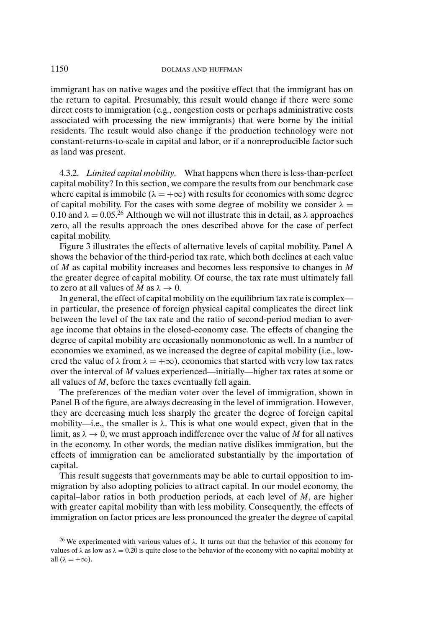immigrant has on native wages and the positive effect that the immigrant has on the return to capital. Presumably, this result would change if there were some direct costs to immigration (e.g., congestion costs or perhaps administrative costs associated with processing the new immigrants) that were borne by the initial residents. The result would also change if the production technology were not constant-returns-to-scale in capital and labor, or if a nonreproducible factor such as land was present.

4.3.2. *Limited capital mobility.* What happens when there is less-than-perfect capital mobility? In this section, we compare the results from our benchmark case where capital is immobile ( $\lambda = +\infty$ ) with results for economies with some degree of capital mobility. For the cases with some degree of mobility we consider  $\lambda =$ 0.10 and  $\lambda = 0.05^{26}$  Although we will not illustrate this in detail, as  $\lambda$  approaches zero, all the results approach the ones described above for the case of perfect capital mobility.

Figure 3 illustrates the effects of alternative levels of capital mobility. Panel A shows the behavior of the third-period tax rate, which both declines at each value of *M* as capital mobility increases and becomes less responsive to changes in *M* the greater degree of capital mobility. Of course, the tax rate must ultimately fall to zero at all values of *M* as  $\lambda \to 0$ .

In general, the effect of capital mobility on the equilibrium tax rate is complex in particular, the presence of foreign physical capital complicates the direct link between the level of the tax rate and the ratio of second-period median to average income that obtains in the closed-economy case. The effects of changing the degree of capital mobility are occasionally nonmonotonic as well. In a number of economies we examined, as we increased the degree of capital mobility (i.e., lowered the value of  $\lambda$  from  $\lambda = +\infty$ ), economies that started with very low tax rates over the interval of *M* values experienced—initially—higher tax rates at some or all values of *M*, before the taxes eventually fell again.

The preferences of the median voter over the level of immigration, shown in Panel B of the figure, are always decreasing in the level of immigration. However, they are decreasing much less sharply the greater the degree of foreign capital mobility—i.e., the smaller is  $\lambda$ . This is what one would expect, given that in the limit, as  $\lambda \to 0$ , we must approach indifference over the value of *M* for all natives in the economy. In other words, the median native dislikes immigration, but the effects of immigration can be ameliorated substantially by the importation of capital.

This result suggests that governments may be able to curtail opposition to immigration by also adopting policies to attract capital. In our model economy, the capital–labor ratios in both production periods, at each level of *M*, are higher with greater capital mobility than with less mobility. Consequently, the effects of immigration on factor prices are less pronounced the greater the degree of capital

<sup>&</sup>lt;sup>26</sup> We experimented with various values of  $\lambda$ . It turns out that the behavior of this economy for values of  $\lambda$  as low as  $\lambda = 0.20$  is quite close to the behavior of the economy with no capital mobility at all  $(\lambda = +\infty)$ .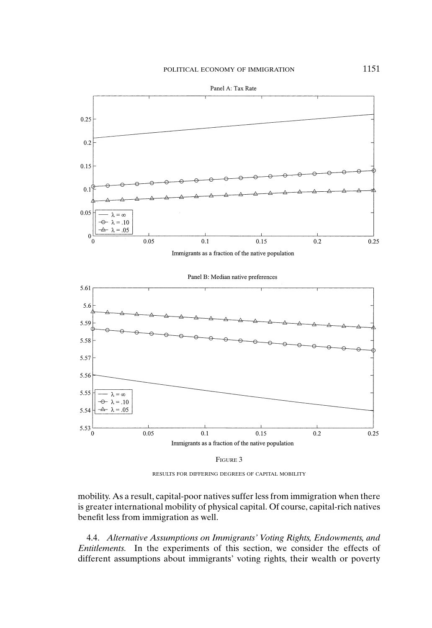

RESULTS FOR DIFFERING DEGREES OF CAPITAL MOBILITY

mobility. As a result, capital-poor natives suffer less from immigration when there is greater international mobility of physical capital. Of course, capital-rich natives benefit less from immigration as well.

4.4. *Alternative Assumptions on Immigrants' Voting Rights, Endowments, and Entitlements.* In the experiments of this section, we consider the effects of different assumptions about immigrants' voting rights, their wealth or poverty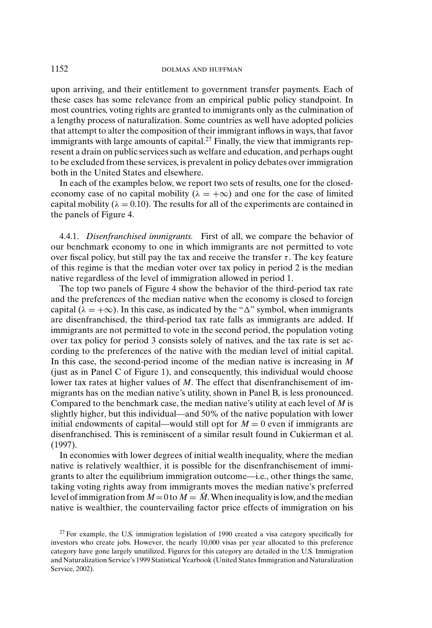upon arriving, and their entitlement to government transfer payments. Each of these cases has some relevance from an empirical public policy standpoint. In most countries, voting rights are granted to immigrants only as the culmination of a lengthy process of naturalization. Some countries as well have adopted policies that attempt to alter the composition of their immigrant inflows in ways, that favor immigrants with large amounts of capital.<sup>27</sup> Finally, the view that immigrants represent a drain on public services such as welfare and education, and perhaps ought to be excluded from these services, is prevalent in policy debates over immigration both in the United States and elsewhere.

In each of the examples below, we report two sets of results, one for the closedeconomy case of no capital mobility ( $\lambda = +\infty$ ) and one for the case of limited capital mobility ( $\lambda = 0.10$ ). The results for all of the experiments are contained in the panels of Figure 4.

4.4.1. *Disenfranchised immigrants.* First of all, we compare the behavior of our benchmark economy to one in which immigrants are not permitted to vote over fiscal policy, but still pay the tax and receive the transfer  $\tau$ . The key feature of this regime is that the median voter over tax policy in period 2 is the median native regardless of the level of immigration allowed in period 1.

The top two panels of Figure 4 show the behavior of the third-period tax rate and the preferences of the median native when the economy is closed to foreign capital ( $\lambda = +\infty$ ). In this case, as indicated by the " $\Delta$ " symbol, when immigrants are disenfranchised, the third-period tax rate falls as immigrants are added. If immigrants are not permitted to vote in the second period, the population voting over tax policy for period 3 consists solely of natives, and the tax rate is set according to the preferences of the native with the median level of initial capital. In this case, the second-period income of the median native is increasing in *M* (just as in Panel C of Figure 1), and consequently, this individual would choose lower tax rates at higher values of *M*. The effect that disenfranchisement of immigrants has on the median native's utility, shown in Panel B, is less pronounced. Compared to the benchmark case, the median native's utility at each level of *M* is slightly higher, but this individual—and 50% of the native population with lower initial endowments of capital—would still opt for  $M = 0$  even if immigrants are disenfranchised. This is reminiscent of a similar result found in Cukierman et al. (1997).

In economies with lower degrees of initial wealth inequality, where the median native is relatively wealthier, it is possible for the disenfranchisement of immigrants to alter the equilibrium immigration outcome—i.e., other things the same, taking voting rights away from immigrants moves the median native's preferred level of immigration from  $M=0$  to  $M=\overline{M}$ . When inequality is low, and the median native is wealthier, the countervailing factor price effects of immigration on his

 $27$  For example, the U.S. immigration legislation of 1990 created a visa category specifically for investors who create jobs. However, the nearly 10,000 visas per year allocated to this preference category have gone largely unutilized. Figures for this category are detailed in the U.S. Immigration and Naturalization Service's 1999 Statistical Yearbook (United States Immigration and Naturalization Service, 2002).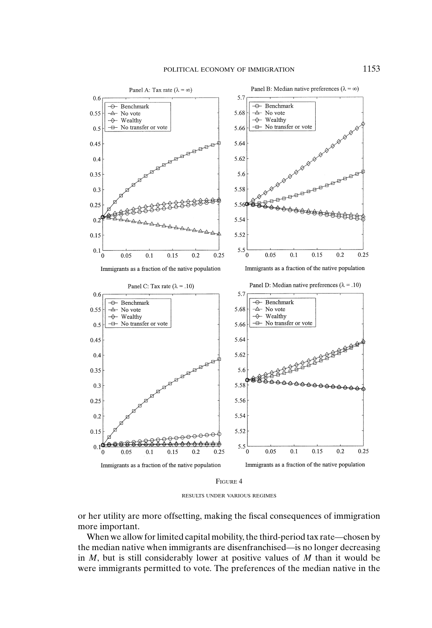

FIGURE 4

RESULTS UNDER VARIOUS REGIMES

or her utility are more offsetting, making the fiscal consequences of immigration more important.

When we allow for limited capital mobility, the third-period tax rate—chosen by the median native when immigrants are disenfranchised—is no longer decreasing in *M*, but is still considerably lower at positive values of *M* than it would be were immigrants permitted to vote. The preferences of the median native in the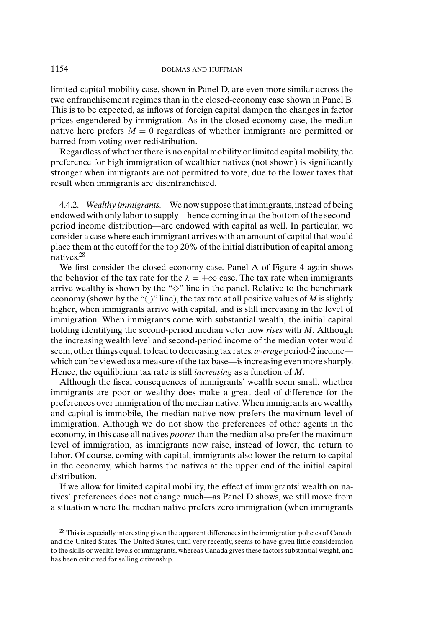## 1154 DOLMAS AND HUFFMAN

limited-capital-mobility case, shown in Panel D, are even more similar across the two enfranchisement regimes than in the closed-economy case shown in Panel B. This is to be expected, as inflows of foreign capital dampen the changes in factor prices engendered by immigration. As in the closed-economy case, the median native here prefers  $M = 0$  regardless of whether immigrants are permitted or barred from voting over redistribution.

Regardless of whether there is no capital mobility or limited capital mobility, the preference for high immigration of wealthier natives (not shown) is significantly stronger when immigrants are not permitted to vote, due to the lower taxes that result when immigrants are disenfranchised.

4.4.2. *Wealthy immigrants.* We now suppose that immigrants, instead of being endowed with only labor to supply—hence coming in at the bottom of the secondperiod income distribution—are endowed with capital as well. In particular, we consider a case where each immigrant arrives with an amount of capital that would place them at the cutoff for the top 20% of the initial distribution of capital among natives.<sup>28</sup>

We first consider the closed-economy case. Panel A of Figure 4 again shows the behavior of the tax rate for the  $\lambda = +\infty$  case. The tax rate when immigrants arrive wealthy is shown by the " $\diamond$ " line in the panel. Relative to the benchmark economy (shown by the " $\bigcirc$ " line), the tax rate at all positive values of *M* is slightly higher, when immigrants arrive with capital, and is still increasing in the level of immigration. When immigrants come with substantial wealth, the initial capital holding identifying the second-period median voter now *rises* with *M*. Although the increasing wealth level and second-period income of the median voter would seem, other things equal, to lead to decreasing tax rates, *average* period-2 income which can be viewed as a measure of the tax base—is increasing even more sharply. Hence, the equilibrium tax rate is still *increasing* as a function of *M*.

Although the fiscal consequences of immigrants' wealth seem small, whether immigrants are poor or wealthy does make a great deal of difference for the preferences over immigration of the median native. When immigrants are wealthy and capital is immobile, the median native now prefers the maximum level of immigration. Although we do not show the preferences of other agents in the economy, in this case all natives *poorer* than the median also prefer the maximum level of immigration, as immigrants now raise, instead of lower, the return to labor. Of course, coming with capital, immigrants also lower the return to capital in the economy, which harms the natives at the upper end of the initial capital distribution.

If we allow for limited capital mobility, the effect of immigrants' wealth on natives' preferences does not change much—as Panel D shows, we still move from a situation where the median native prefers zero immigration (when immigrants

<sup>&</sup>lt;sup>28</sup> This is especially interesting given the apparent differences in the immigration policies of Canada and the United States. The United States, until very recently, seems to have given little consideration to the skills or wealth levels of immigrants, whereas Canada gives these factors substantial weight, and has been criticized for selling citizenship.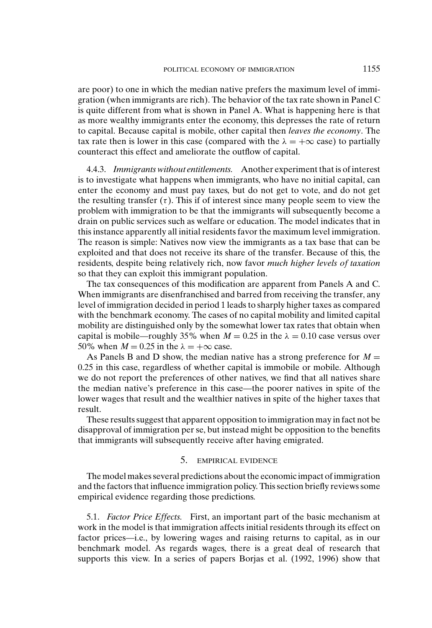are poor) to one in which the median native prefers the maximum level of immigration (when immigrants are rich). The behavior of the tax rate shown in Panel C is quite different from what is shown in Panel A. What is happening here is that as more wealthy immigrants enter the economy, this depresses the rate of return to capital. Because capital is mobile, other capital then *leaves the economy*. The tax rate then is lower in this case (compared with the  $\lambda = +\infty$  case) to partially counteract this effect and ameliorate the outflow of capital.

4.4.3. *Immigrants without entitlements.* Another experiment that is of interest is to investigate what happens when immigrants, who have no initial capital, can enter the economy and must pay taxes, but do not get to vote, and do not get the resulting transfer  $(\tau)$ . This if of interest since many people seem to view the problem with immigration to be that the immigrants will subsequently become a drain on public services such as welfare or education. The model indicates that in this instance apparently all initial residents favor the maximum level immigration. The reason is simple: Natives now view the immigrants as a tax base that can be exploited and that does not receive its share of the transfer. Because of this, the residents, despite being relatively rich, now favor *much higher levels of taxation* so that they can exploit this immigrant population.

The tax consequences of this modification are apparent from Panels A and C. When immigrants are disenfranchised and barred from receiving the transfer, any level of immigration decided in period 1 leads to sharply higher taxes as compared with the benchmark economy. The cases of no capital mobility and limited capital mobility are distinguished only by the somewhat lower tax rates that obtain when capital is mobile—roughly 35% when  $M = 0.25$  in the  $\lambda = 0.10$  case versus over 50% when  $M = 0.25$  in the  $\lambda = +\infty$  case.

As Panels B and D show, the median native has a strong preference for  $M =$ 0.25 in this case, regardless of whether capital is immobile or mobile. Although we do not report the preferences of other natives, we find that all natives share the median native's preference in this case—the poorer natives in spite of the lower wages that result and the wealthier natives in spite of the higher taxes that result.

These results suggest that apparent opposition to immigration may in fact not be disapproval of immigration per se, but instead might be opposition to the benefits that immigrants will subsequently receive after having emigrated.

## 5. EMPIRICAL EVIDENCE

The model makes several predictions about the economic impact of immigration and the factors that influence immigration policy. This section briefly reviews some empirical evidence regarding those predictions.

5.1. *Factor Price Effects.* First, an important part of the basic mechanism at work in the model is that immigration affects initial residents through its effect on factor prices—i.e., by lowering wages and raising returns to capital, as in our benchmark model. As regards wages, there is a great deal of research that supports this view. In a series of papers Borjas et al. (1992, 1996) show that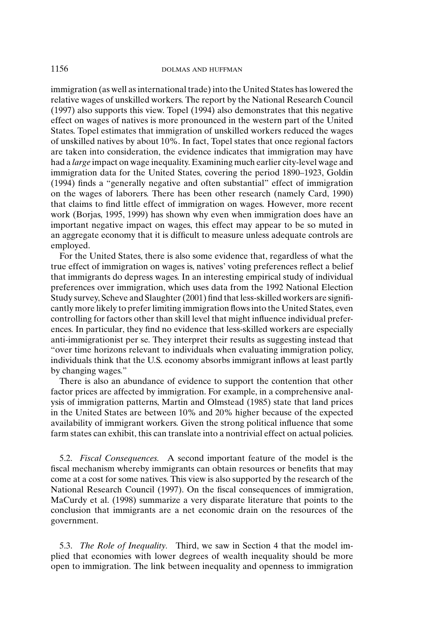immigration (as well as international trade) into the United States has lowered the relative wages of unskilled workers. The report by the National Research Council (1997) also supports this view. Topel (1994) also demonstrates that this negative effect on wages of natives is more pronounced in the western part of the United States. Topel estimates that immigration of unskilled workers reduced the wages of unskilled natives by about 10%. In fact, Topel states that once regional factors are taken into consideration, the evidence indicates that immigration may have had a *large* impact on wage inequality. Examining much earlier city-level wage and immigration data for the United States, covering the period 1890–1923, Goldin (1994) finds a "generally negative and often substantial" effect of immigration on the wages of laborers. There has been other research (namely Card, 1990) that claims to find little effect of immigration on wages. However, more recent work (Borjas, 1995, 1999) has shown why even when immigration does have an important negative impact on wages, this effect may appear to be so muted in an aggregate economy that it is difficult to measure unless adequate controls are employed.

For the United States, there is also some evidence that, regardless of what the true effect of immigration on wages is, natives' voting preferences reflect a belief that immigrants do depress wages. In an interesting empirical study of individual preferences over immigration, which uses data from the 1992 National Election Study survey, Scheve and Slaughter (2001) find that less-skilled workers are significantly more likely to prefer limiting immigration flows into the United States, even controlling for factors other than skill level that might influence individual preferences. In particular, they find no evidence that less-skilled workers are especially anti-immigrationist per se. They interpret their results as suggesting instead that "over time horizons relevant to individuals when evaluating immigration policy, individuals think that the U.S. economy absorbs immigrant inflows at least partly by changing wages."

There is also an abundance of evidence to support the contention that other factor prices are affected by immigration. For example, in a comprehensive analysis of immigration patterns, Martin and Olmstead (1985) state that land prices in the United States are between 10% and 20% higher because of the expected availability of immigrant workers. Given the strong political influence that some farm states can exhibit, this can translate into a nontrivial effect on actual policies.

5.2. *Fiscal Consequences.* A second important feature of the model is the fiscal mechanism whereby immigrants can obtain resources or benefits that may come at a cost for some natives. This view is also supported by the research of the National Research Council (1997). On the fiscal consequences of immigration, MaCurdy et al. (1998) summarize a very disparate literature that points to the conclusion that immigrants are a net economic drain on the resources of the government.

5.3. *The Role of Inequality.* Third, we saw in Section 4 that the model implied that economies with lower degrees of wealth inequality should be more open to immigration. The link between inequality and openness to immigration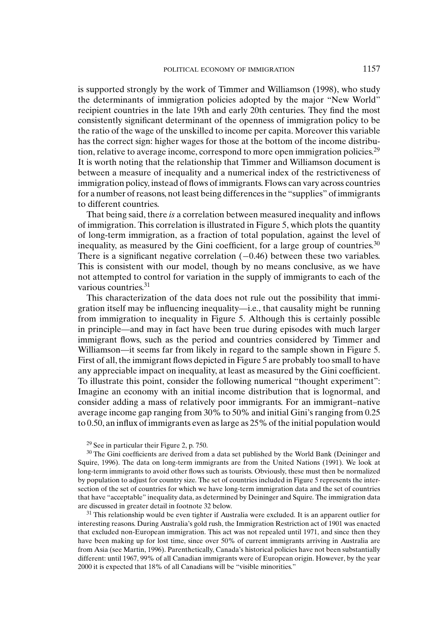is supported strongly by the work of Timmer and Williamson (1998), who study the determinants of immigration policies adopted by the major "New World" recipient countries in the late 19th and early 20th centuries. They find the most consistently significant determinant of the openness of immigration policy to be the ratio of the wage of the unskilled to income per capita. Moreover this variable has the correct sign: higher wages for those at the bottom of the income distribution, relative to average income, correspond to more open immigration policies.<sup>29</sup> It is worth noting that the relationship that Timmer and Williamson document is between a measure of inequality and a numerical index of the restrictiveness of immigration policy, instead of flows of immigrants. Flows can vary across countries for a number of reasons, not least being differences in the "supplies" of immigrants to different countries.

That being said, there *is* a correlation between measured inequality and inflows of immigration. This correlation is illustrated in Figure 5, which plots the quantity of long-term immigration, as a fraction of total population, against the level of inequality, as measured by the Gini coefficient, for a large group of countries.<sup>30</sup> There is a significant negative correlation (−0.46) between these two variables. This is consistent with our model, though by no means conclusive, as we have not attempted to control for variation in the supply of immigrants to each of the various countries.<sup>31</sup>

This characterization of the data does not rule out the possibility that immigration itself may be influencing inequality—i.e., that causality might be running from immigration to inequality in Figure 5. Although this is certainly possible in principle—and may in fact have been true during episodes with much larger immigrant flows, such as the period and countries considered by Timmer and Williamson—it seems far from likely in regard to the sample shown in Figure 5. First of all, the immigrant flows depicted in Figure 5 are probably too small to have any appreciable impact on inequality, at least as measured by the Gini coefficient. To illustrate this point, consider the following numerical "thought experiment": Imagine an economy with an initial income distribution that is lognormal, and consider adding a mass of relatively poor immigrants. For an immigrant–native average income gap ranging from 30% to 50% and initial Gini's ranging from 0.25 to 0.50, an influx of immigrants even as large as 25% of the initial population would

### $29$  See in particular their Figure 2, p. 750.

 $30$  The Gini coefficients are derived from a data set published by the World Bank (Deininger and Squire, 1996). The data on long-term immigrants are from the United Nations (1991). We look at long-term immigrants to avoid other flows such as tourists. Obviously, these must then be normalized by population to adjust for country size. The set of countries included in Figure 5 represents the intersection of the set of countries for which we have long-term immigration data and the set of countries that have "acceptable" inequality data, as determined by Deininger and Squire. The immigration data are discussed in greater detail in footnote 32 below.

<sup>31</sup> This relationship would be even tighter if Australia were excluded. It is an apparent outlier for interesting reasons. During Australia's gold rush, the Immigration Restriction act of 1901 was enacted that excluded non-European immigration. This act was not repealed until 1971, and since then they have been making up for lost time, since over 50% of current immigrants arriving in Australia are from Asia (see Martin, 1996). Parenthetically, Canada's historical policies have not been substantially different: until 1967, 99% of all Canadian immigrants were of European origin. However, by the year 2000 it is expected that 18% of all Canadians will be "visible minorities."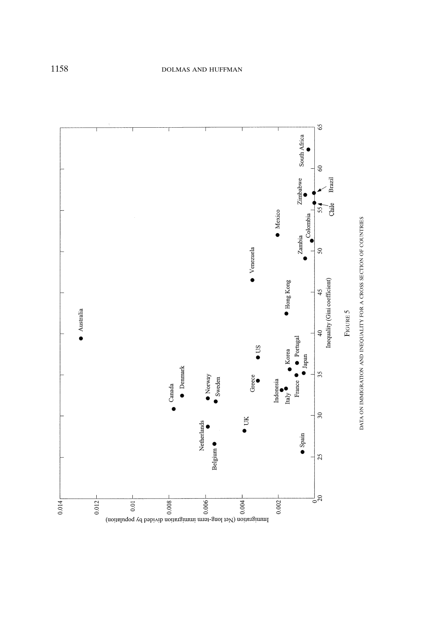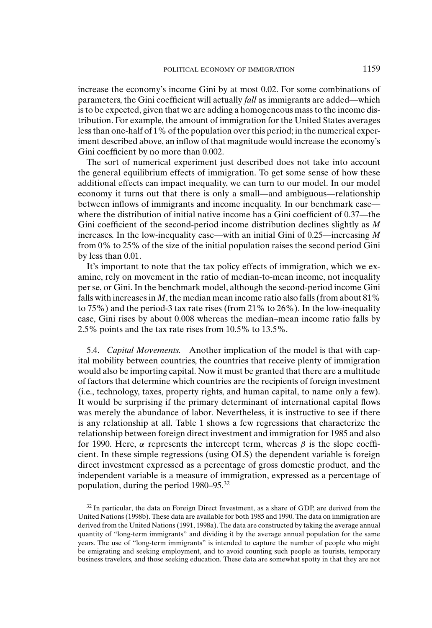increase the economy's income Gini by at most 0.02. For some combinations of parameters, the Gini coefficient will actually *fall* as immigrants are added—which is to be expected, given that we are adding a homogeneous mass to the income distribution. For example, the amount of immigration for the United States averages less than one-half of 1% of the population over this period; in the numerical experiment described above, an inflow of that magnitude would increase the economy's Gini coefficient by no more than 0.002.

The sort of numerical experiment just described does not take into account the general equilibrium effects of immigration. To get some sense of how these additional effects can impact inequality, we can turn to our model. In our model economy it turns out that there is only a small—and ambiguous—relationship between inflows of immigrants and income inequality. In our benchmark case where the distribution of initial native income has a Gini coefficient of 0.37—the Gini coefficient of the second-period income distribution declines slightly as *M* increases. In the low-inequality case—with an initial Gini of 0.25—increasing *M* from 0% to 25% of the size of the initial population raises the second period Gini by less than 0.01.

It's important to note that the tax policy effects of immigration, which we examine, rely on movement in the ratio of median-to-mean income, not inequality per se, or Gini. In the benchmark model, although the second-period income Gini falls with increases in *M*, the median mean income ratio also falls (from about 81% to 75%) and the period-3 tax rate rises (from 21% to 26%). In the low-inequality case, Gini rises by about 0.008 whereas the median–mean income ratio falls by 2.5% points and the tax rate rises from 10.5% to 13.5%.

5.4. *Capital Movements.* Another implication of the model is that with capital mobility between countries, the countries that receive plenty of immigration would also be importing capital. Now it must be granted that there are a multitude of factors that determine which countries are the recipients of foreign investment (i.e., technology, taxes, property rights, and human capital, to name only a few). It would be surprising if the primary determinant of international capital flows was merely the abundance of labor. Nevertheless, it is instructive to see if there is any relationship at all. Table 1 shows a few regressions that characterize the relationship between foreign direct investment and immigration for 1985 and also for 1990. Here,  $\alpha$  represents the intercept term, whereas  $\beta$  is the slope coefficient. In these simple regressions (using OLS) the dependent variable is foreign direct investment expressed as a percentage of gross domestic product, and the independent variable is a measure of immigration, expressed as a percentage of population, during the period 1980–95.32

<sup>&</sup>lt;sup>32</sup> In particular, the data on Foreign Direct Investment, as a share of GDP, are derived from the United Nations (1998b). These data are available for both 1985 and 1990. The data on immigration are derived from the United Nations (1991, 1998a). The data are constructed by taking the average annual quantity of "long-term immigrants" and dividing it by the average annual population for the same years. The use of "long-term immigrants" is intended to capture the number of people who might be emigrating and seeking employment, and to avoid counting such people as tourists, temporary business travelers, and those seeking education. These data are somewhat spotty in that they are not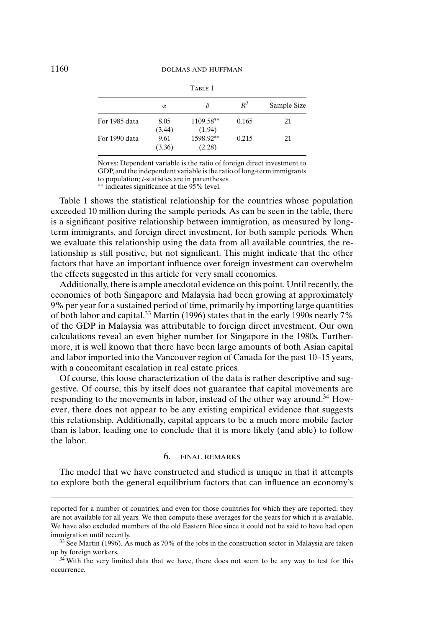|               | $\alpha$       | В                   | $R^2$ | Sample Size |
|---------------|----------------|---------------------|-------|-------------|
| For 1985 data | 8.05<br>(3.44) | 1109.58**<br>(1.94) | 0.165 | 21          |
| For 1990 data | 9.61<br>(3.36) | 1598.92**<br>(2.28) | 0.215 | 21          |

NOTES: Dependent variable is the ratio of foreign direct investment to GDP, and the independent variable is the ratio of long-term immigrants<br>to population; *t*-statistics are in parentheses.

<sup>\*\*</sup> indicates significance at the 95% level.

Table 1 shows the statistical relationship for the countries whose population exceeded 10 million during the sample periods. As can be seen in the table, there is a significant positive relationship between immigration, as measured by longterm immigrants, and foreign direct investment, for both sample periods. When we evaluate this relationship using the data from all available countries, the relationship is still positive, but not significant. This might indicate that the other factors that have an important influence over foreign investment can overwhelm the effects suggested in this article for very small economies.

Additionally, there is ample anecdotal evidence on this point. Until recently, the economies of both Singapore and Malaysia had been growing at approximately 9% per year for a sustained period of time, primarily by importing large quantities of both labor and capital.<sup>33</sup> Martin (1996) states that in the early 1990s nearly 7% of the GDP in Malaysia was attributable to foreign direct investment. Our own calculations reveal an even higher number for Singapore in the 1980s. Furthermore, it is well known that there have been large amounts of both Asian capital and labor imported into the Vancouver region of Canada for the past 10–15 years, with a concomitant escalation in real estate prices.

Of course, this loose characterization of the data is rather descriptive and suggestive. Of course, this by itself does not guarantee that capital movements are responding to the movements in labor, instead of the other way around.<sup>34</sup> However, there does not appear to be any existing empirical evidence that suggests this relationship. Additionally, capital appears to be a much more mobile factor than is labor, leading one to conclude that it is more likely (and able) to follow the labor.

# 6. FINAL REMARKS

The model that we have constructed and studied is unique in that it attempts to explore both the general equilibrium factors that can influence an economy's

reported for a number of countries, and even for those countries for which they are reported, they are not available for all years. We then compute these averages for the years for which it is available. We have also excluded members of the old Eastern Bloc since it could not be said to have had open immigration until recently.

 $33$  See Martin (1996). As much as 70% of the jobs in the construction sector in Malaysia are taken up by foreign workers.

<sup>&</sup>lt;sup>34</sup> With the very limited data that we have, there does not seem to be any way to test for this occurrence.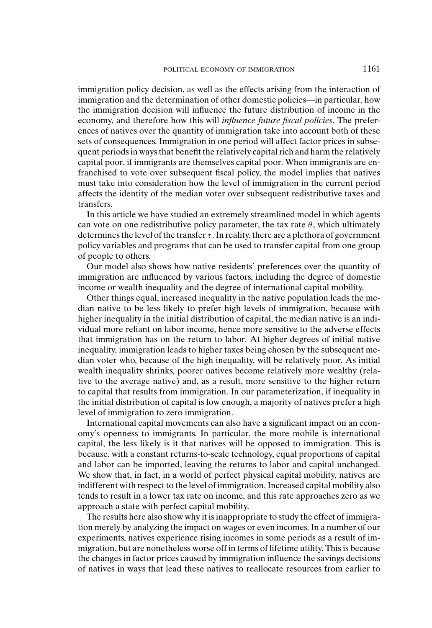immigration policy decision, as well as the effects arising from the interaction of immigration and the determination of other domestic policies—in particular, how the immigration decision will influence the future distribution of income in the economy, and therefore how this will *influence future fiscal policies*. The preferences of natives over the quantity of immigration take into account both of these sets of consequences. Immigration in one period will affect factor prices in subsequent periods in ways that benefit the relatively capital rich and harm the relatively capital poor, if immigrants are themselves capital poor. When immigrants are enfranchised to vote over subsequent fiscal policy, the model implies that natives must take into consideration how the level of immigration in the current period affects the identity of the median voter over subsequent redistributive taxes and transfers.

In this article we have studied an extremely streamlined model in which agents can vote on one redistributive policy parameter, the tax rate  $\theta$ , which ultimately determines the level of the transfer  $\tau$ . In reality, there are a plethora of government policy variables and programs that can be used to transfer capital from one group of people to others.

Our model also shows how native residents' preferences over the quantity of immigration are influenced by various factors, including the degree of domestic income or wealth inequality and the degree of international capital mobility.

Other things equal, increased inequality in the native population leads the median native to be less likely to prefer high levels of immigration, because with higher inequality in the initial distribution of capital, the median native is an individual more reliant on labor income, hence more sensitive to the adverse effects that immigration has on the return to labor. At higher degrees of initial native inequality, immigration leads to higher taxes being chosen by the subsequent median voter who, because of the high inequality, will be relatively poor. As initial wealth inequality shrinks, poorer natives become relatively more wealthy (relative to the average native) and, as a result, more sensitive to the higher return to capital that results from immigration. In our parameterization, if inequality in the initial distribution of capital is low enough, a majority of natives prefer a high level of immigration to zero immigration.

International capital movements can also have a significant impact on an economy's openness to immigrants. In particular, the more mobile is international capital, the less likely is it that natives will be opposed to immigration. This is because, with a constant returns-to-scale technology, equal proportions of capital and labor can be imported, leaving the returns to labor and capital unchanged. We show that, in fact, in a world of perfect physical capital mobility, natives are indifferent with respect to the level of immigration. Increased capital mobility also tends to result in a lower tax rate on income, and this rate approaches zero as we approach a state with perfect capital mobility.

The results here also show why it is inappropriate to study the effect of immigration merely by analyzing the impact on wages or even incomes. In a number of our experiments, natives experience rising incomes in some periods as a result of immigration, but are nonetheless worse off in terms of lifetime utility. This is because the changes in factor prices caused by immigration influence the savings decisions of natives in ways that lead these natives to reallocate resources from earlier to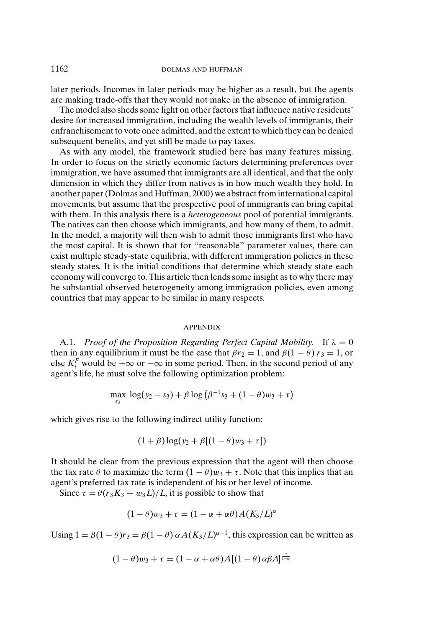later periods. Incomes in later periods may be higher as a result, but the agents are making trade-offs that they would not make in the absence of immigration.

The model also sheds some light on other factors that influence native residents' desire for increased immigration, including the wealth levels of immigrants, their enfranchisement to vote once admitted, and the extent to which they can be denied subsequent benefits, and yet still be made to pay taxes.

As with any model, the framework studied here has many features missing. In order to focus on the strictly economic factors determining preferences over immigration, we have assumed that immigrants are all identical, and that the only dimension in which they differ from natives is in how much wealth they hold. In another paper (Dolmas and Huffman, 2000) we abstract from international capital movements, but assume that the prospective pool of immigrants can bring capital with them. In this analysis there is a *heterogeneous* pool of potential immigrants. The natives can then choose which immigrants, and how many of them, to admit. In the model, a majority will then wish to admit those immigrants first who have the most capital. It is shown that for "reasonable" parameter values, there can exist multiple steady-state equilibria, with different immigration policies in these steady states. It is the initial conditions that determine which steady state each economy will converge to. This article then lends some insight as to why there may be substantial observed heterogeneity among immigration policies, even among countries that may appear to be similar in many respects.

### APPENDIX

A.1. *Proof of the Proposition Regarding Perfect Capital Mobility.* If  $\lambda = 0$ then in any equilibrium it must be the case that  $\beta r_2 = 1$ , and  $\beta(1 - \theta) r_3 = 1$ , or else  $K_i^F$  would be  $+\infty$  or  $-\infty$  in some period. Then, in the second period of any agent's life, he must solve the following optimization problem:

$$
\max_{s_3} \log(y_2 - s_3) + \beta \log(\beta^{-1} s_3 + (1 - \theta) w_3 + \tau)
$$

which gives rise to the following indirect utility function:

$$
(1+\beta)\log(y_2+\beta[(1-\theta)w_3+\tau])
$$

It should be clear from the previous expression that the agent will then choose the tax rate  $\theta$  to maximize the term  $(1 - \theta)w_3 + \tau$ . Note that this implies that an agent's preferred tax rate is independent of his or her level of income.

Since  $\tau = \theta(r_3K_3 + w_3L)/L$ , it is possible to show that

$$
(1 - \theta)w_3 + \tau = (1 - \alpha + \alpha\theta)A(K_3/L)^{\alpha}
$$

Using  $1 = \beta(1 - \theta)r_3 = \beta(1 - \theta) \alpha A(K_3/L)^{\alpha-1}$ , this expression can be written as

$$
(1 - \theta)w_3 + \tau = (1 - \alpha + \alpha\theta)A[(1 - \theta)\alpha\beta A]^{\frac{\alpha}{1 - \alpha}}
$$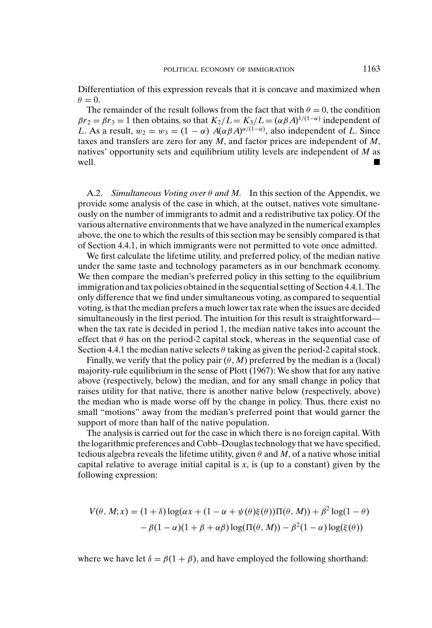Differentiation of this expression reveals that it is concave and maximized when  $\theta = 0$ .

The remainder of the result follows from the fact that with  $\theta = 0$ , the condition  $\beta r_2 = \beta r_3 = 1$  then obtains, so that  $K_2/L = K_3/L = (\alpha \beta A)^{1/(1-\alpha)}$  independent of *L*. As a result,  $w_2 = w_3 = (1 - \alpha) A(\alpha \beta A)^{\alpha/(1 - \alpha)}$ , also independent of *L*. Since taxes and transfers are zero for any *M*, and factor prices are independent of *M*, natives' opportunity sets and equilibrium utility levels are independent of *M* as well.

A.2. *Simultaneous Voting over* θ *and M.* In this section of the Appendix, we provide some analysis of the case in which, at the outset, natives vote simultaneously on the number of immigrants to admit and a redistributive tax policy. Of the various alternative environments that we have analyzed in the numerical examples above, the one to which the results of this section may be sensibly compared is that of Section 4.4.1, in which immigrants were not permitted to vote once admitted.

We first calculate the lifetime utility, and preferred policy, of the median native under the same taste and technology parameters as in our benchmark economy. We then compare the median's preferred policy in this setting to the equilibrium immigration and tax policies obtained in the sequential setting of Section 4.4.1. The only difference that we find under simultaneous voting, as compared to sequential voting, is that the median prefers a much lower tax rate when the issues are decided simultaneously in the first period. The intuition for this result is straightforward when the tax rate is decided in period 1, the median native takes into account the effect that  $\theta$  has on the period-2 capital stock, whereas in the sequential case of Section 4.4.1 the median native selects  $\theta$  taking as given the period-2 capital stock.

Finally, we verify that the policy pair  $(\theta, M)$  preferred by the median is a (local) majority-rule equilibrium in the sense of Plott (1967): We show that for any native above (respectively, below) the median, and for any small change in policy that raises utility for that native, there is another native below (respectively, above) the median who is made worse off by the change in policy. Thus, there exist no small "motions" away from the median's preferred point that would garner the support of more than half of the native population.

The analysis is carried out for the case in which there is no foreign capital. With the logarithmic preferences and Cobb–Douglas technology that we have specified, tedious algebra reveals the lifetime utility, given  $\theta$  and  $M$ , of a native whose initial capital relative to average initial capital is  $x$ , is (up to a constant) given by the following expression:

$$
V(\theta, M; x) = (1 + \delta) \log(\alpha x + (1 - \alpha + \psi(\theta)\xi(\theta))\Pi(\theta, M)) + \beta^2 \log(1 - \theta)
$$

$$
- \beta(1 - \alpha)(1 + \beta + \alpha\beta) \log(\Pi(\theta, M)) - \beta^2(1 - \alpha) \log(\xi(\theta))
$$

where we have let  $\delta = \beta(1 + \beta)$ , and have employed the following shorthand: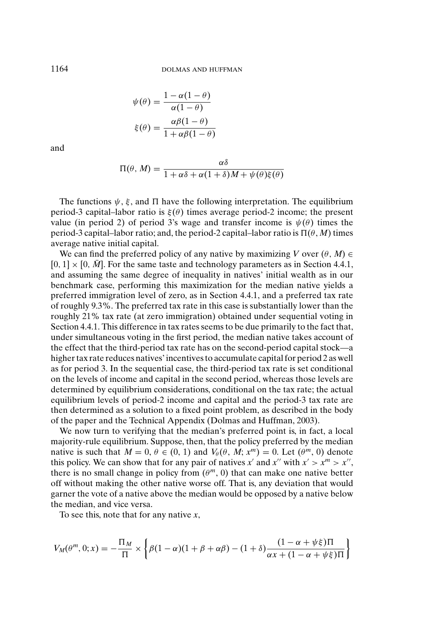$$
\psi(\theta) = \frac{1 - \alpha(1 - \theta)}{\alpha(1 - \theta)}
$$

$$
\xi(\theta) = \frac{\alpha\beta(1 - \theta)}{1 + \alpha\beta(1 - \theta)}
$$

and

$$
\Pi(\theta, M) = \frac{\alpha \delta}{1 + \alpha \delta + \alpha (1 + \delta) M + \psi(\theta) \xi(\theta)}
$$

The functions  $\psi$ ,  $\xi$ , and  $\Pi$  have the following interpretation. The equilibrium period-3 capital–labor ratio is  $\xi(\theta)$  times average period-2 income; the present value (in period 2) of period 3's wage and transfer income is  $\psi(\theta)$  times the period-3 capital–labor ratio; and, the period-2 capital–labor ratio is  $\Pi(\theta, M)$  times average native initial capital.

We can find the preferred policy of any native by maximizing *V* over  $(\theta, M) \in$  $[0, 1] \times [0, \overline{M}]$ . For the same taste and technology parameters as in Section 4.4.1, and assuming the same degree of inequality in natives' initial wealth as in our benchmark case, performing this maximization for the median native yields a preferred immigration level of zero, as in Section 4.4.1, and a preferred tax rate of roughly 9.3%. The preferred tax rate in this case is substantially lower than the roughly 21% tax rate (at zero immigration) obtained under sequential voting in Section 4.4.1. This difference in tax rates seems to be due primarily to the fact that, under simultaneous voting in the first period, the median native takes account of the effect that the third-period tax rate has on the second-period capital stock—a higher tax rate reduces natives' incentives to accumulate capital for period 2 as well as for period 3. In the sequential case, the third-period tax rate is set conditional on the levels of income and capital in the second period, whereas those levels are determined by equilibrium considerations, conditional on the tax rate; the actual equilibrium levels of period-2 income and capital and the period-3 tax rate are then determined as a solution to a fixed point problem, as described in the body of the paper and the Technical Appendix (Dolmas and Huffman, 2003).

We now turn to verifying that the median's preferred point is, in fact, a local majority-rule equilibrium. Suppose, then, that the policy preferred by the median native is such that  $M = 0, \theta \in (0, 1)$  and  $V_{\theta}(\theta, M; x^m) = 0$ . Let  $(\theta^m, 0)$  denote this policy. We can show that for any pair of natives x' and x'' with  $x' > x^m > x''$ , there is no small change in policy from  $(\theta^m, 0)$  that can make one native better off without making the other native worse off. That is, any deviation that would garner the vote of a native above the median would be opposed by a native below the median, and vice versa.

To see this, note that for any native *x*,

$$
V_M(\theta^m, 0; x) = -\frac{\Pi_M}{\Pi} \times \left\{ \beta(1-\alpha)(1+\beta+\alpha\beta) - (1+\delta)\frac{(1-\alpha+\psi\xi)\Pi}{\alpha x + (1-\alpha+\psi\xi)\Pi} \right\}
$$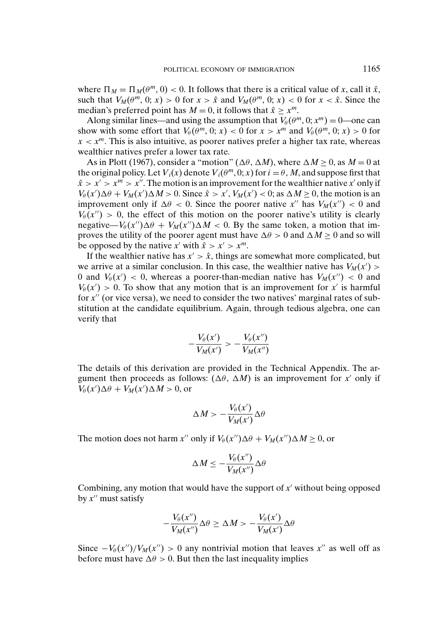where  $\Pi_M = \Pi_M(\theta^m, 0) < 0$ . It follows that there is a critical value of *x*, call it  $\hat{x}$ , such that  $V_M(\theta^m, 0; x) > 0$  for  $x > \hat{x}$  and  $V_M(\theta^m, 0; x) < 0$  for  $x < \hat{x}$ . Since the median's preferred point has  $M = 0$ , it follows that  $\hat{x} \geq x^m$ .

Along similar lines—and using the assumption that  $V_{\theta}(\theta^m, 0; x^m) = 0$ —one can show with some effort that  $V_{\theta}(\theta^m, 0; x) < 0$  for  $x > x^m$  and  $V_{\theta}(\theta^m, 0; x) > 0$  for  $x < x<sup>m</sup>$ . This is also intuitive, as poorer natives prefer a higher tax rate, whereas wealthier natives prefer a lower tax rate.

As in Plott (1967), consider a "motion" ( $\Delta\theta$ ,  $\Delta M$ ), where  $\Delta M \ge 0$ , as  $M = 0$  at the original policy. Let  $V_i(x)$  denote  $V_i(\theta^m, 0; x)$  for  $i = \theta$ , *M*, and suppose first that  $\hat{x} > x' > x^m > x''$ . The motion is an improvement for the wealthier native *x'* only if  $V_{\theta}(x')\Delta\theta + V_M(x')\Delta M > 0$ . Since  $\hat{x} > x'$ ,  $V_M(x') < 0$ ; as  $\Delta M \ge 0$ , the motion is an improvement only if  $\Delta \theta < 0$ . Since the poorer native x'' has  $V_M(x'') < 0$  and  $V_{\theta}(x'') > 0$ , the effect of this motion on the poorer native's utility is clearly negative—*V*<sup> $_{\theta}$ </sup>(*x''*) $\Delta \theta$  + *V<sub>M</sub>*(*x''*) $\Delta M$  < 0. By the same token, a motion that improves the utility of the poorer agent must have  $\Delta\theta > 0$  and  $\Delta M \ge 0$  and so will be opposed by the native *x'* with  $\hat{x} > x' > x^m$ .

If the wealthier native has  $x' > \hat{x}$ , things are somewhat more complicated, but we arrive at a similar conclusion. In this case, the wealthier native has  $V_M(x')$ 0 and  $V_{\theta}(x') < 0$ , whereas a poorer-than-median native has  $V_M(x'') < 0$  and  $V_{\theta}(x') > 0$ . To show that any motion that is an improvement for x' is harmful for  $x''$  (or vice versa), we need to consider the two natives' marginal rates of substitution at the candidate equilibrium. Again, through tedious algebra, one can verify that

$$
-\frac{V_{\theta}(x')}{V_M(x')} > -\frac{V_{\theta}(x'')}{V_M(x'')}
$$

The details of this derivation are provided in the Technical Appendix. The argument then proceeds as follows:  $(\Delta \theta, \Delta M)$  is an improvement for *x'* only if  $V_{\theta}(x')\Delta\theta + V_M(x')\Delta M > 0$ , or

$$
\Delta M > -\frac{V_{\theta}(x')}{V_M(x')} \Delta \theta
$$

The motion does not harm *x*<sup>"</sup> only if  $V_\theta(x'')\Delta\theta + V_M(x'')\Delta M > 0$ , or

$$
\Delta M \leq -\frac{V_{\theta}(x'')}{V_M(x'')} \Delta \theta
$$

Combining, any motion that would have the support of *x* without being opposed by  $x''$  must satisfy

$$
-\frac{V_{\theta}(x'')}{V_M(x'')} \Delta \theta \geq \Delta M > -\frac{V_{\theta}(x')}{V_M(x')} \Delta \theta
$$

Since  $-V_\theta(x'')/V_M(x'') > 0$  any nontrivial motion that leaves x'' as well off as before must have  $\Delta\theta > 0$ . But then the last inequality implies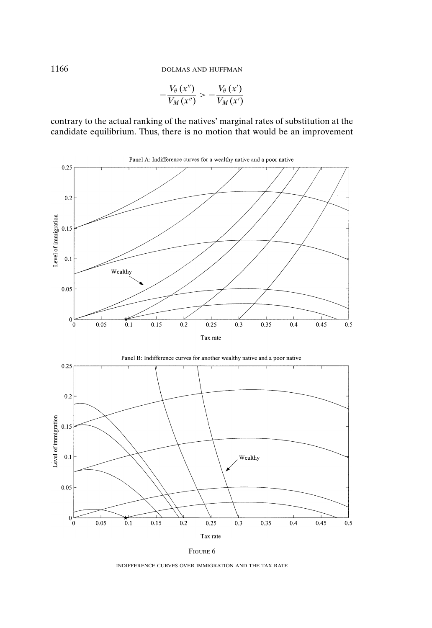$$
-\frac{V_{\theta}\left(x''\right)}{V_{M}\left(x''\right)} > -\frac{V_{\theta}\left(x'\right)}{V_{M}\left(x'\right)}
$$

contrary to the actual ranking of the natives' marginal rates of substitution at the candidate equilibrium. Thus, there is no motion that would be an improvement





INDIFFERENCE CURVES OVER IMMIGRATION AND THE TAX RATE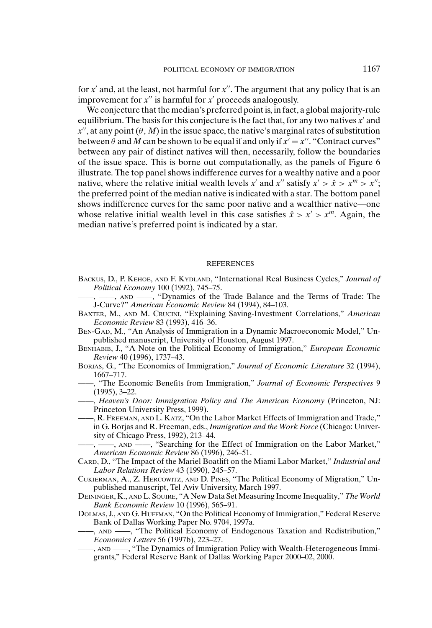for *x'* and, at the least, not harmful for *x''*. The argument that any policy that is an improvement for  $x''$  is harmful for  $x'$  proceeds analogously.

We conjecture that the median's preferred point is, in fact, a global majority-rule equilibrium. The basis for this conjecture is the fact that, for any two natives  $x'$  and  $x''$ , at any point  $(\theta, M)$  in the issue space, the native's marginal rates of substitution between  $\theta$  and  $M$  can be shown to be equal if and only if  $x' = x''$ . "Contract curves" between any pair of distinct natives will then, necessarily, follow the boundaries of the issue space. This is borne out computationally, as the panels of Figure 6 illustrate. The top panel shows indifference curves for a wealthy native and a poor native, where the relative initial wealth levels x' and x'' satisfy  $x' > \hat{x} > x^m > x''$ ; the preferred point of the median native is indicated with a star. The bottom panel shows indifference curves for the same poor native and a wealthier native—one whose relative initial wealth level in this case satisfies  $\hat{x} > x' > x^m$ . Again, the median native's preferred point is indicated by a star.

## REFERENCES

- BACKUS, D., P. KEHOE, AND F. KYDLAND, "International Real Business Cycles," *Journal of Political Economy* 100 (1992), 745–75.
	- ——, ——, AND ——, "Dynamics of the Trade Balance and the Terms of Trade: The J-Curve?" *American Economic Review* 84 (1994), 84–103.
- BAXTER, M., AND M. CRUCINI, "Explaining Saving-Investment Correlations," *American Economic Review* 83 (1993), 416–36.
- BEN-GAD, M., "An Analysis of Immigration in a Dynamic Macroeconomic Model," Unpublished manuscript, University of Houston, August 1997.
- BENHABIB, J., "A Note on the Political Economy of Immigration," *European Economic Review* 40 (1996), 1737–43.
- BORJAS, G., "The Economics of Immigration," *Journal of Economic Literature* 32 (1994), 1667–717.
- ——, "The Economic Benefits from Immigration," *Journal of Economic Perspectives* 9 (1995), 3–22.
- ——, *Heaven's Door: Immigration Policy and The American Economy* (Princeton, NJ: Princeton University Press, 1999).
- ——, R. FREEMAN, AND L. KATZ, "On the Labor Market Effects of Immigration and Trade," in G. Borjas and R. Freeman, eds., *Immigration and the Work Force* (Chicago: University of Chicago Press, 1992), 213–44.
- ——, ——, AND ——, "Searching for the Effect of Immigration on the Labor Market," *American Economic Review* 86 (1996), 246–51.
- CARD, D., "The Impact of the Mariel Boatlift on the Miami Labor Market," *Industrial and Labor Relations Review* 43 (1990), 245–57.
- CUKIERMAN, A., Z. HERCOWITZ, AND D. PINES, "The Political Economy of Migration," Unpublished manuscript, Tel Aviv University, March 1997.
- DEININGER, K., AND L. SQUIRE, "A New Data Set Measuring Income Inequality," *The World Bank Economic Review* 10 (1996), 565–91.
- DOLMAS, J., AND G. HUFFMAN, "On the Political Economy of Immigration," Federal Reserve Bank of Dallas Working Paper No. 9704, 1997a.
- ——, AND ——, "The Political Economy of Endogenous Taxation and Redistribution," *Economics Letters* 56 (1997b), 223–27.
- ——, AND ——, "The Dynamics of Immigration Policy with Wealth-Heterogeneous Immigrants," Federal Reserve Bank of Dallas Working Paper 2000–02, 2000.